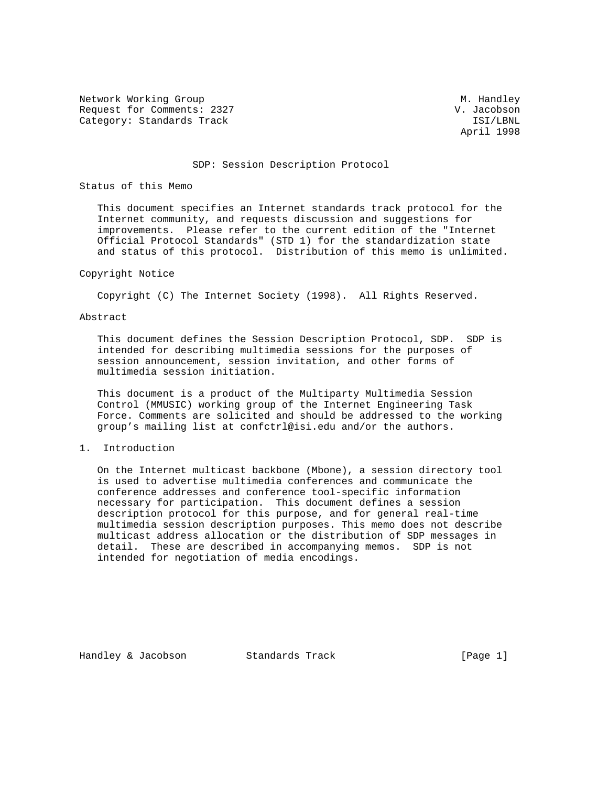Network Working Group Methods and Muslim Muslim Muslim Muslim Muslim Muslim Muslim Muslim Muslim Muslim Muslim Request for Comments: 2327 V. Jacobson Category: Standards Track ISI/LBNL

April 1998

#### SDP: Session Description Protocol

Status of this Memo

 This document specifies an Internet standards track protocol for the Internet community, and requests discussion and suggestions for improvements. Please refer to the current edition of the "Internet Official Protocol Standards" (STD 1) for the standardization state and status of this protocol. Distribution of this memo is unlimited.

#### Copyright Notice

Copyright (C) The Internet Society (1998). All Rights Reserved.

### Abstract

 This document defines the Session Description Protocol, SDP. SDP is intended for describing multimedia sessions for the purposes of session announcement, session invitation, and other forms of multimedia session initiation.

 This document is a product of the Multiparty Multimedia Session Control (MMUSIC) working group of the Internet Engineering Task Force. Comments are solicited and should be addressed to the working group's mailing list at confctrl@isi.edu and/or the authors.

# 1. Introduction

 On the Internet multicast backbone (Mbone), a session directory tool is used to advertise multimedia conferences and communicate the conference addresses and conference tool-specific information necessary for participation. This document defines a session description protocol for this purpose, and for general real-time multimedia session description purposes. This memo does not describe multicast address allocation or the distribution of SDP messages in detail. These are described in accompanying memos. SDP is not intended for negotiation of media encodings.

Handley & Jacobson Standards Track [Page 1]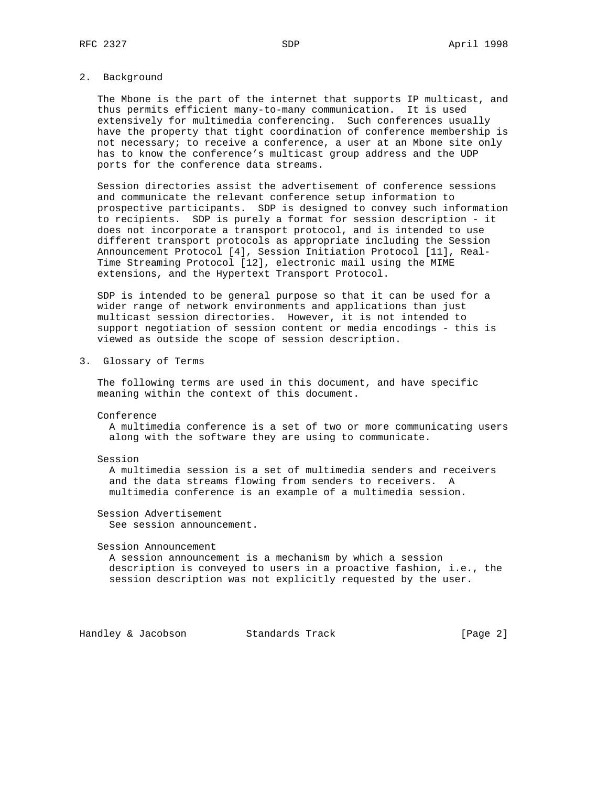## 2. Background

 The Mbone is the part of the internet that supports IP multicast, and thus permits efficient many-to-many communication. It is used extensively for multimedia conferencing. Such conferences usually have the property that tight coordination of conference membership is not necessary; to receive a conference, a user at an Mbone site only has to know the conference's multicast group address and the UDP ports for the conference data streams.

 Session directories assist the advertisement of conference sessions and communicate the relevant conference setup information to prospective participants. SDP is designed to convey such information to recipients. SDP is purely a format for session description - it does not incorporate a transport protocol, and is intended to use different transport protocols as appropriate including the Session Announcement Protocol [4], Session Initiation Protocol [11], Real- Time Streaming Protocol [12], electronic mail using the MIME extensions, and the Hypertext Transport Protocol.

 SDP is intended to be general purpose so that it can be used for a wider range of network environments and applications than just multicast session directories. However, it is not intended to support negotiation of session content or media encodings - this is viewed as outside the scope of session description.

3. Glossary of Terms

 The following terms are used in this document, and have specific meaning within the context of this document.

Conference

 A multimedia conference is a set of two or more communicating users along with the software they are using to communicate.

Session

 A multimedia session is a set of multimedia senders and receivers and the data streams flowing from senders to receivers. A multimedia conference is an example of a multimedia session.

 Session Advertisement See session announcement.

Session Announcement

 A session announcement is a mechanism by which a session description is conveyed to users in a proactive fashion, i.e., the session description was not explicitly requested by the user.

Handley & Jacobson Standards Track [Page 2]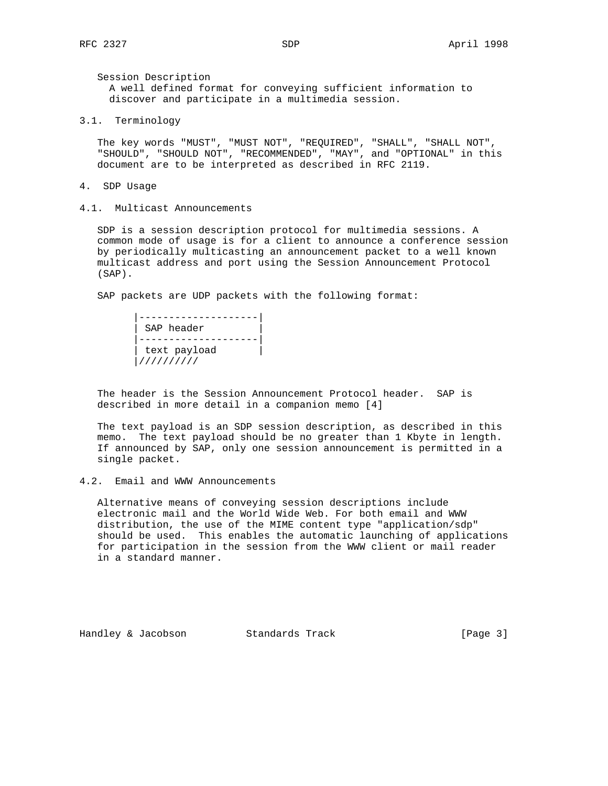Session Description A well defined format for conveying sufficient information to discover and participate in a multimedia session.

3.1. Terminology

 The key words "MUST", "MUST NOT", "REQUIRED", "SHALL", "SHALL NOT", "SHOULD", "SHOULD NOT", "RECOMMENDED", "MAY", and "OPTIONAL" in this document are to be interpreted as described in RFC 2119.

- 4. SDP Usage
- 4.1. Multicast Announcements

 SDP is a session description protocol for multimedia sessions. A common mode of usage is for a client to announce a conference session by periodically multicasting an announcement packet to a well known multicast address and port using the Session Announcement Protocol (SAP).

SAP packets are UDP packets with the following format:

 |--------------------| SAP header |--------------------| text payload  $|$ |//////////

 The header is the Session Announcement Protocol header. SAP is described in more detail in a companion memo [4]

 The text payload is an SDP session description, as described in this memo. The text payload should be no greater than 1 Kbyte in length. If announced by SAP, only one session announcement is permitted in a single packet.

4.2. Email and WWW Announcements

 Alternative means of conveying session descriptions include electronic mail and the World Wide Web. For both email and WWW distribution, the use of the MIME content type "application/sdp" should be used. This enables the automatic launching of applications for participation in the session from the WWW client or mail reader in a standard manner.

Handley & Jacobson Standards Track [Page 3]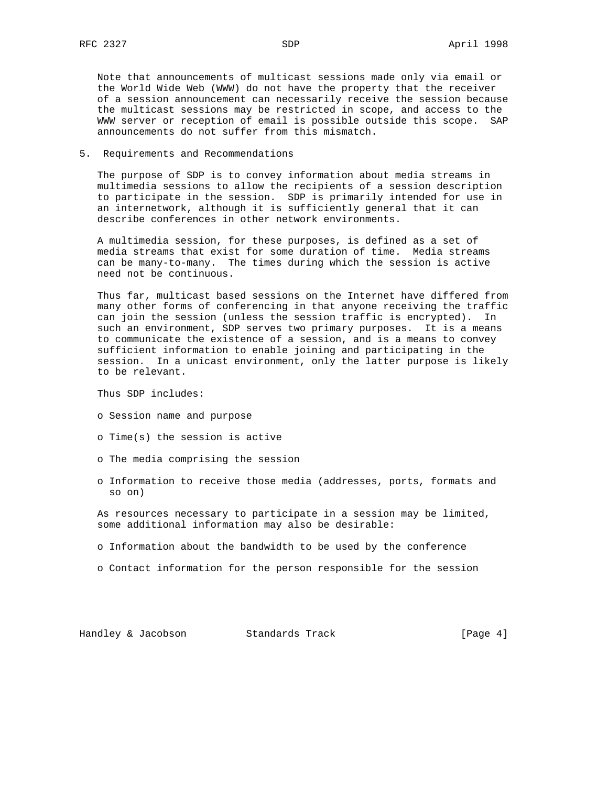Note that announcements of multicast sessions made only via email or the World Wide Web (WWW) do not have the property that the receiver of a session announcement can necessarily receive the session because the multicast sessions may be restricted in scope, and access to the WWW server or reception of email is possible outside this scope. SAP announcements do not suffer from this mismatch.

5. Requirements and Recommendations

 The purpose of SDP is to convey information about media streams in multimedia sessions to allow the recipients of a session description to participate in the session. SDP is primarily intended for use in an internetwork, although it is sufficiently general that it can describe conferences in other network environments.

 A multimedia session, for these purposes, is defined as a set of media streams that exist for some duration of time. Media streams can be many-to-many. The times during which the session is active need not be continuous.

 Thus far, multicast based sessions on the Internet have differed from many other forms of conferencing in that anyone receiving the traffic can join the session (unless the session traffic is encrypted). In such an environment, SDP serves two primary purposes. It is a means to communicate the existence of a session, and is a means to convey sufficient information to enable joining and participating in the session. In a unicast environment, only the latter purpose is likely to be relevant.

Thus SDP includes:

- o Session name and purpose
- o Time(s) the session is active
- o The media comprising the session
- o Information to receive those media (addresses, ports, formats and so on)

 As resources necessary to participate in a session may be limited, some additional information may also be desirable:

- o Information about the bandwidth to be used by the conference
- o Contact information for the person responsible for the session

Handley & Jacobson Standards Track [Page 4]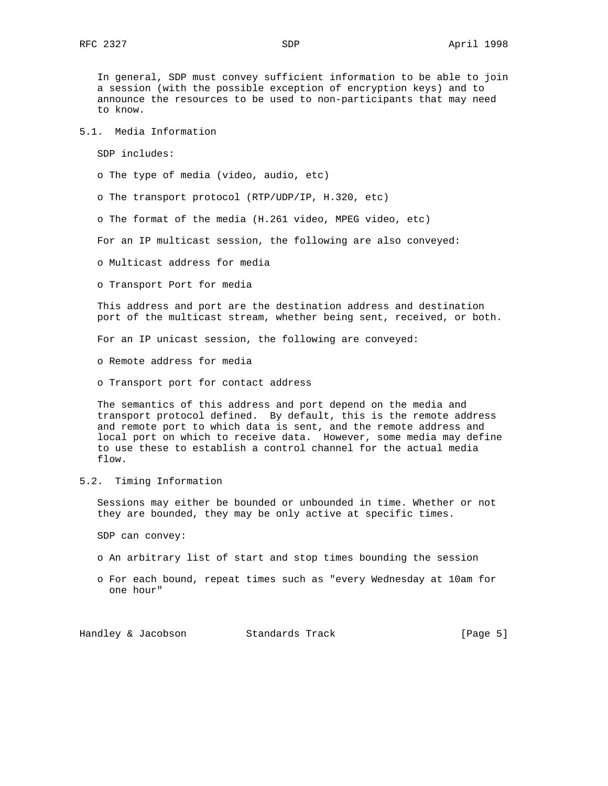In general, SDP must convey sufficient information to be able to join a session (with the possible exception of encryption keys) and to announce the resources to be used to non-participants that may need to know.

5.1. Media Information

SDP includes:

o The type of media (video, audio, etc)

o The transport protocol (RTP/UDP/IP, H.320, etc)

o The format of the media (H.261 video, MPEG video, etc)

For an IP multicast session, the following are also conveyed:

o Multicast address for media

o Transport Port for media

 This address and port are the destination address and destination port of the multicast stream, whether being sent, received, or both.

For an IP unicast session, the following are conveyed:

o Remote address for media

o Transport port for contact address

 The semantics of this address and port depend on the media and transport protocol defined. By default, this is the remote address and remote port to which data is sent, and the remote address and local port on which to receive data. However, some media may define to use these to establish a control channel for the actual media flow.

5.2. Timing Information

 Sessions may either be bounded or unbounded in time. Whether or not they are bounded, they may be only active at specific times.

SDP can convey:

- o An arbitrary list of start and stop times bounding the session
- o For each bound, repeat times such as "every Wednesday at 10am for one hour"

Handley & Jacobson Standards Track [Page 5]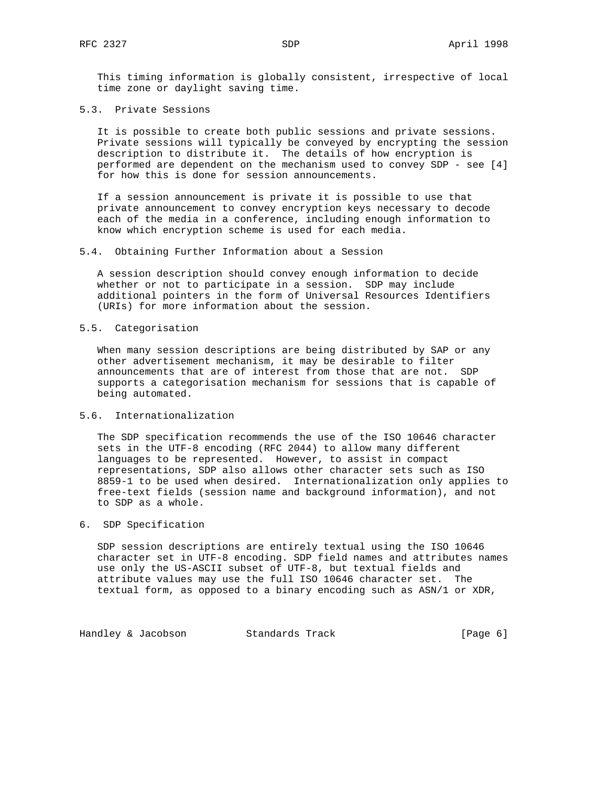This timing information is globally consistent, irrespective of local time zone or daylight saving time.

5.3. Private Sessions

 It is possible to create both public sessions and private sessions. Private sessions will typically be conveyed by encrypting the session description to distribute it. The details of how encryption is performed are dependent on the mechanism used to convey SDP - see [4] for how this is done for session announcements.

 If a session announcement is private it is possible to use that private announcement to convey encryption keys necessary to decode each of the media in a conference, including enough information to know which encryption scheme is used for each media.

### 5.4. Obtaining Further Information about a Session

 A session description should convey enough information to decide whether or not to participate in a session. SDP may include additional pointers in the form of Universal Resources Identifiers (URIs) for more information about the session.

### 5.5. Categorisation

 When many session descriptions are being distributed by SAP or any other advertisement mechanism, it may be desirable to filter announcements that are of interest from those that are not. SDP supports a categorisation mechanism for sessions that is capable of being automated.

# 5.6. Internationalization

 The SDP specification recommends the use of the ISO 10646 character sets in the UTF-8 encoding (RFC 2044) to allow many different languages to be represented. However, to assist in compact representations, SDP also allows other character sets such as ISO 8859-1 to be used when desired. Internationalization only applies to free-text fields (session name and background information), and not to SDP as a whole.

## 6. SDP Specification

 SDP session descriptions are entirely textual using the ISO 10646 character set in UTF-8 encoding. SDP field names and attributes names use only the US-ASCII subset of UTF-8, but textual fields and attribute values may use the full ISO 10646 character set. The textual form, as opposed to a binary encoding such as ASN/1 or XDR,

Handley & Jacobson Standards Track [Page 6]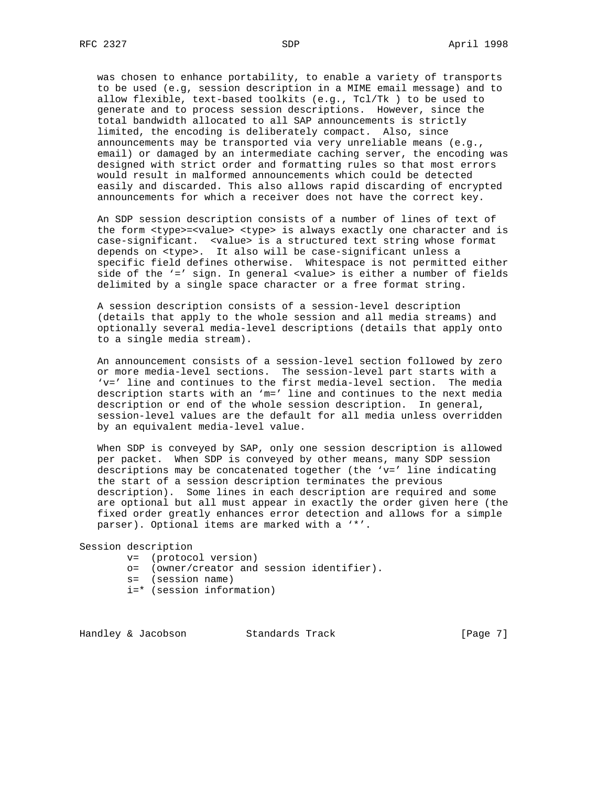was chosen to enhance portability, to enable a variety of transports to be used (e.g, session description in a MIME email message) and to allow flexible, text-based toolkits (e.g., Tcl/Tk ) to be used to generate and to process session descriptions. However, since the total bandwidth allocated to all SAP announcements is strictly limited, the encoding is deliberately compact. Also, since announcements may be transported via very unreliable means (e.g., email) or damaged by an intermediate caching server, the encoding was designed with strict order and formatting rules so that most errors would result in malformed announcements which could be detected easily and discarded. This also allows rapid discarding of encrypted announcements for which a receiver does not have the correct key.

 An SDP session description consists of a number of lines of text of the form <type>=<value> <type> is always exactly one character and is case-significant. <value> is a structured text string whose format depends on <type>. It also will be case-significant unless a specific field defines otherwise. Whitespace is not permitted either side of the '=' sign. In general <value> is either a number of fields delimited by a single space character or a free format string.

 A session description consists of a session-level description (details that apply to the whole session and all media streams) and optionally several media-level descriptions (details that apply onto to a single media stream).

 An announcement consists of a session-level section followed by zero or more media-level sections. The session-level part starts with a 'v=' line and continues to the first media-level section. The media description starts with an 'm=' line and continues to the next media description or end of the whole session description. In general, session-level values are the default for all media unless overridden by an equivalent media-level value.

 When SDP is conveyed by SAP, only one session description is allowed per packet. When SDP is conveyed by other means, many SDP session descriptions may be concatenated together (the 'v=' line indicating the start of a session description terminates the previous description). Some lines in each description are required and some are optional but all must appear in exactly the order given here (the fixed order greatly enhances error detection and allows for a simple parser). Optional items are marked with a '\*'.

```
Session description
```
- v= (protocol version)
- o= (owner/creator and session identifier).
- s= (session name)
- i=\* (session information)

Handley & Jacobson Standards Track [Page 7]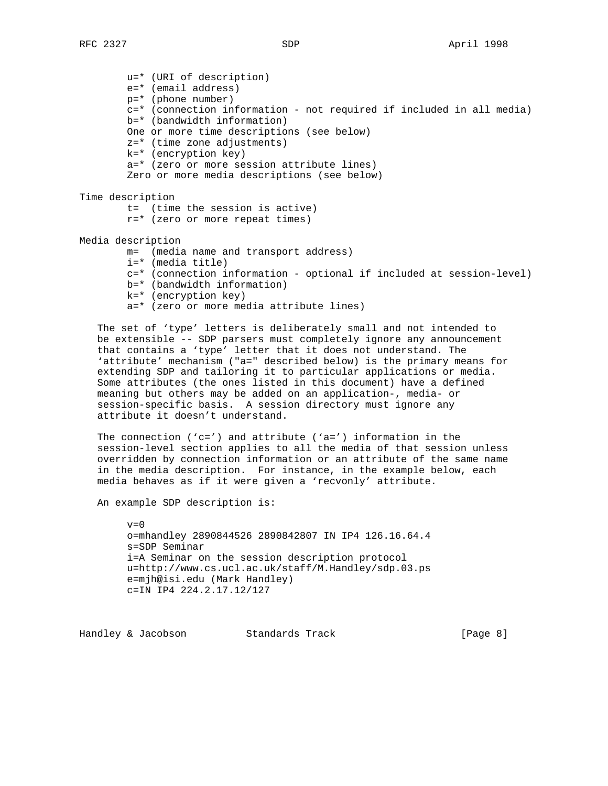u=\* (URI of description) e=\* (email address) p=\* (phone number) c=\* (connection information - not required if included in all media) b=\* (bandwidth information) One or more time descriptions (see below) z=\* (time zone adjustments) k=\* (encryption key) a=\* (zero or more session attribute lines) Zero or more media descriptions (see below) Time description t= (time the session is active) r=\* (zero or more repeat times) Media description m= (media name and transport address) i=\* (media title) c=\* (connection information - optional if included at session-level) b=\* (bandwidth information) k=\* (encryption key) a=\* (zero or more media attribute lines) The set of 'type' letters is deliberately small and not intended to

 be extensible -- SDP parsers must completely ignore any announcement that contains a 'type' letter that it does not understand. The 'attribute' mechanism ("a=" described below) is the primary means for extending SDP and tailoring it to particular applications or media. Some attributes (the ones listed in this document) have a defined meaning but others may be added on an application-, media- or session-specific basis. A session directory must ignore any attribute it doesn't understand.

The connection ('c=') and attribute ('a=') information in the session-level section applies to all the media of that session unless overridden by connection information or an attribute of the same name in the media description. For instance, in the example below, each media behaves as if it were given a 'recvonly' attribute.

An example SDP description is:

 $v=0$  o=mhandley 2890844526 2890842807 IN IP4 126.16.64.4 s=SDP Seminar i=A Seminar on the session description protocol u=http://www.cs.ucl.ac.uk/staff/M.Handley/sdp.03.ps e=mjh@isi.edu (Mark Handley) c=IN IP4 224.2.17.12/127

Handley & Jacobson Standards Track [Page 8]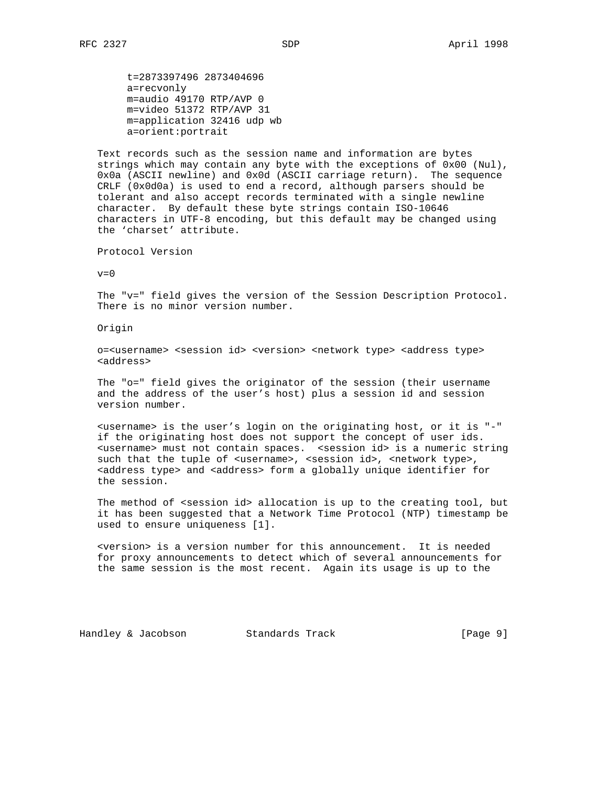t=2873397496 2873404696 a=recvonly m=audio 49170 RTP/AVP 0 m=video 51372 RTP/AVP 31 m=application 32416 udp wb a=orient:portrait

 Text records such as the session name and information are bytes strings which may contain any byte with the exceptions of 0x00 (Nul), 0x0a (ASCII newline) and 0x0d (ASCII carriage return). The sequence CRLF (0x0d0a) is used to end a record, although parsers should be tolerant and also accept records terminated with a single newline character. By default these byte strings contain ISO-10646 characters in UTF-8 encoding, but this default may be changed using the 'charset' attribute.

Protocol Version

 $v=0$ 

 The "v=" field gives the version of the Session Description Protocol. There is no minor version number.

Origin

o=<username> <session id> <version> <network type> <address type> <address>

 The "o=" field gives the originator of the session (their username and the address of the user's host) plus a session id and session version number.

 <username> is the user's login on the originating host, or it is "-" if the originating host does not support the concept of user ids. <username> must not contain spaces. <session id> is a numeric string such that the tuple of <username>, <session id>, <network type>, <address type> and <address> form a globally unique identifier for the session.

The method of <session id> allocation is up to the creating tool, but it has been suggested that a Network Time Protocol (NTP) timestamp be used to ensure uniqueness [1].

 <version> is a version number for this announcement. It is needed for proxy announcements to detect which of several announcements for the same session is the most recent. Again its usage is up to the

Handley & Jacobson Standards Track [Page 9]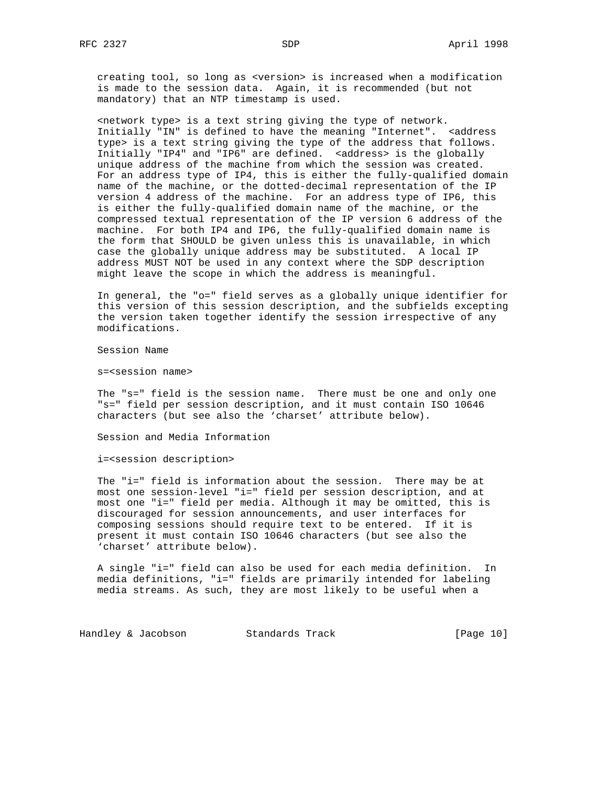creating tool, so long as <version> is increased when a modification is made to the session data. Again, it is recommended (but not mandatory) that an NTP timestamp is used.

 <network type> is a text string giving the type of network. Initially "IN" is defined to have the meaning "Internet". <address type> is a text string giving the type of the address that follows. Initially "IP4" and "IP6" are defined. <address> is the globally unique address of the machine from which the session was created. For an address type of IP4, this is either the fully-qualified domain name of the machine, or the dotted-decimal representation of the IP version 4 address of the machine. For an address type of IP6, this is either the fully-qualified domain name of the machine, or the compressed textual representation of the IP version 6 address of the machine. For both IP4 and IP6, the fully-qualified domain name is the form that SHOULD be given unless this is unavailable, in which case the globally unique address may be substituted. A local IP address MUST NOT be used in any context where the SDP description might leave the scope in which the address is meaningful.

 In general, the "o=" field serves as a globally unique identifier for this version of this session description, and the subfields excepting the version taken together identify the session irrespective of any modifications.

Session Name

s=<session name>

 The "s=" field is the session name. There must be one and only one "s=" field per session description, and it must contain ISO 10646 characters (but see also the 'charset' attribute below).

Session and Media Information

i=<session description>

 The "i=" field is information about the session. There may be at most one session-level "i=" field per session description, and at most one "i=" field per media. Although it may be omitted, this is discouraged for session announcements, and user interfaces for composing sessions should require text to be entered. If it is present it must contain ISO 10646 characters (but see also the 'charset' attribute below).

 A single "i=" field can also be used for each media definition. In media definitions, "i=" fields are primarily intended for labeling media streams. As such, they are most likely to be useful when a

Handley & Jacobson Standards Track [Page 10]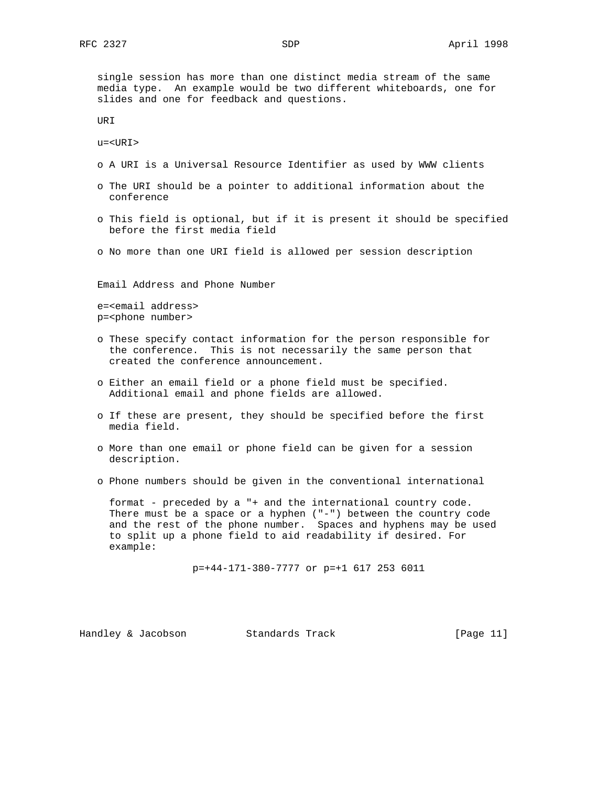single session has more than one distinct media stream of the same media type. An example would be two different whiteboards, one for slides and one for feedback and questions.

URI

u=<URI>

- o A URI is a Universal Resource Identifier as used by WWW clients
- o The URI should be a pointer to additional information about the conference
- o This field is optional, but if it is present it should be specified before the first media field
- o No more than one URI field is allowed per session description

Email Address and Phone Number

 e=<email address> p=<phone number>

- o These specify contact information for the person responsible for the conference. This is not necessarily the same person that created the conference announcement.
- o Either an email field or a phone field must be specified. Additional email and phone fields are allowed.
- o If these are present, they should be specified before the first media field.
- o More than one email or phone field can be given for a session description.
- o Phone numbers should be given in the conventional international

 format - preceded by a "+ and the international country code. There must be a space or a hyphen ("-") between the country code and the rest of the phone number. Spaces and hyphens may be used to split up a phone field to aid readability if desired. For example:

p=+44-171-380-7777 or p=+1 617 253 6011

Handley & Jacobson Standards Track [Page 11]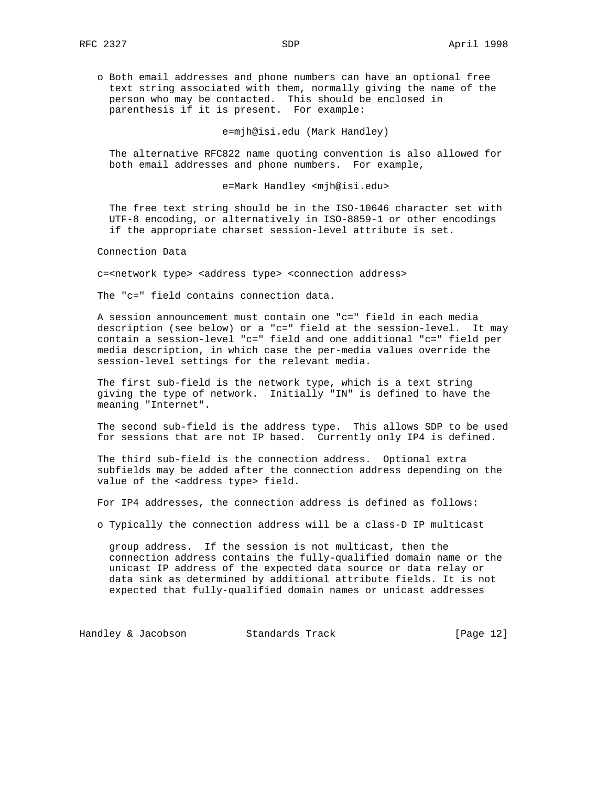o Both email addresses and phone numbers can have an optional free text string associated with them, normally giving the name of the person who may be contacted. This should be enclosed in parenthesis if it is present. For example:

e=mjh@isi.edu (Mark Handley)

 The alternative RFC822 name quoting convention is also allowed for both email addresses and phone numbers. For example,

e=Mark Handley <mjh@isi.edu>

 The free text string should be in the ISO-10646 character set with UTF-8 encoding, or alternatively in ISO-8859-1 or other encodings if the appropriate charset session-level attribute is set.

Connection Data

c=<network type> <address type> <connection address>

The "c=" field contains connection data.

 A session announcement must contain one "c=" field in each media description (see below) or a "c=" field at the session-level. It may contain a session-level "c=" field and one additional "c=" field per media description, in which case the per-media values override the session-level settings for the relevant media.

 The first sub-field is the network type, which is a text string giving the type of network. Initially "IN" is defined to have the meaning "Internet".

 The second sub-field is the address type. This allows SDP to be used for sessions that are not IP based. Currently only IP4 is defined.

 The third sub-field is the connection address. Optional extra subfields may be added after the connection address depending on the value of the <address type> field.

For IP4 addresses, the connection address is defined as follows:

o Typically the connection address will be a class-D IP multicast

 group address. If the session is not multicast, then the connection address contains the fully-qualified domain name or the unicast IP address of the expected data source or data relay or data sink as determined by additional attribute fields. It is not expected that fully-qualified domain names or unicast addresses

Handley & Jacobson Standards Track [Page 12]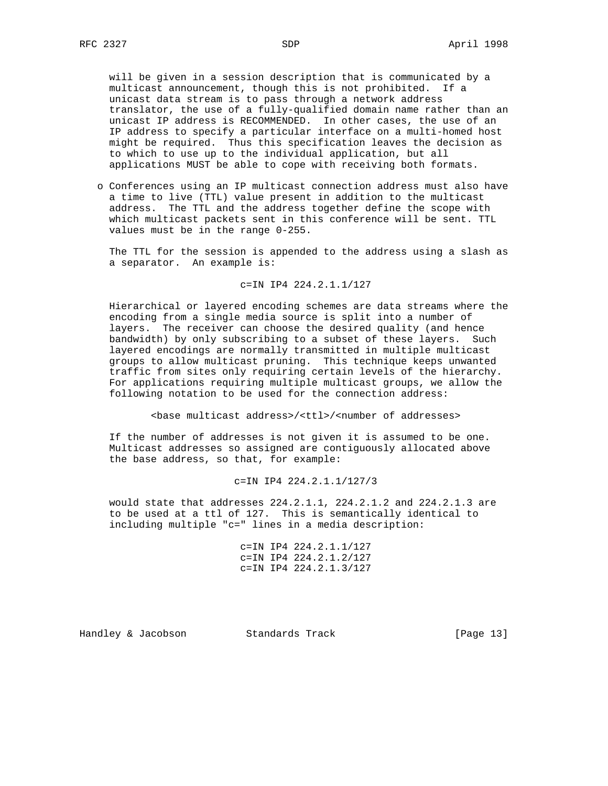will be given in a session description that is communicated by a multicast announcement, though this is not prohibited. If a unicast data stream is to pass through a network address translator, the use of a fully-qualified domain name rather than an unicast IP address is RECOMMENDED. In other cases, the use of an IP address to specify a particular interface on a multi-homed host might be required. Thus this specification leaves the decision as to which to use up to the individual application, but all applications MUST be able to cope with receiving both formats.

 o Conferences using an IP multicast connection address must also have a time to live (TTL) value present in addition to the multicast address. The TTL and the address together define the scope with which multicast packets sent in this conference will be sent. TTL values must be in the range 0-255.

 The TTL for the session is appended to the address using a slash as a separator. An example is:

## c=IN IP4 224.2.1.1/127

 Hierarchical or layered encoding schemes are data streams where the encoding from a single media source is split into a number of layers. The receiver can choose the desired quality (and hence bandwidth) by only subscribing to a subset of these layers. Such layered encodings are normally transmitted in multiple multicast groups to allow multicast pruning. This technique keeps unwanted traffic from sites only requiring certain levels of the hierarchy. For applications requiring multiple multicast groups, we allow the following notation to be used for the connection address:

<base multicast address>/<ttl>/<number of addresses>

 If the number of addresses is not given it is assumed to be one. Multicast addresses so assigned are contiguously allocated above the base address, so that, for example:

c=IN IP4 224.2.1.1/127/3

 would state that addresses 224.2.1.1, 224.2.1.2 and 224.2.1.3 are to be used at a ttl of 127. This is semantically identical to including multiple "c=" lines in a media description:

> c=IN IP4 224.2.1.1/127 c=IN IP4 224.2.1.2/127 c=IN IP4 224.2.1.3/127

Handley & Jacobson Standards Track [Page 13]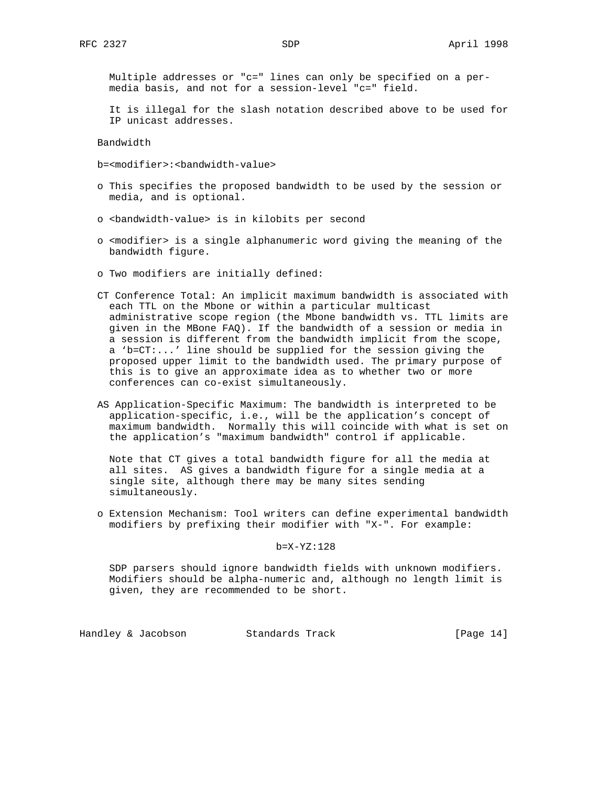Multiple addresses or "c=" lines can only be specified on a per media basis, and not for a session-level "c=" field.

 It is illegal for the slash notation described above to be used for IP unicast addresses.

Bandwidth

b=<modifier>:<bandwidth-value>

- o This specifies the proposed bandwidth to be used by the session or media, and is optional.
- o <bandwidth-value> is in kilobits per second
- o <modifier> is a single alphanumeric word giving the meaning of the bandwidth figure.
- o Two modifiers are initially defined:
- CT Conference Total: An implicit maximum bandwidth is associated with each TTL on the Mbone or within a particular multicast administrative scope region (the Mbone bandwidth vs. TTL limits are given in the MBone FAQ). If the bandwidth of a session or media in a session is different from the bandwidth implicit from the scope, a 'b=CT:...' line should be supplied for the session giving the proposed upper limit to the bandwidth used. The primary purpose of this is to give an approximate idea as to whether two or more conferences can co-exist simultaneously.
- AS Application-Specific Maximum: The bandwidth is interpreted to be application-specific, i.e., will be the application's concept of maximum bandwidth. Normally this will coincide with what is set on the application's "maximum bandwidth" control if applicable.

 Note that CT gives a total bandwidth figure for all the media at all sites. AS gives a bandwidth figure for a single media at a single site, although there may be many sites sending simultaneously.

 o Extension Mechanism: Tool writers can define experimental bandwidth modifiers by prefixing their modifier with "X-". For example:

#### b=X-YZ:128

 SDP parsers should ignore bandwidth fields with unknown modifiers. Modifiers should be alpha-numeric and, although no length limit is given, they are recommended to be short.

Handley & Jacobson Standards Track [Page 14]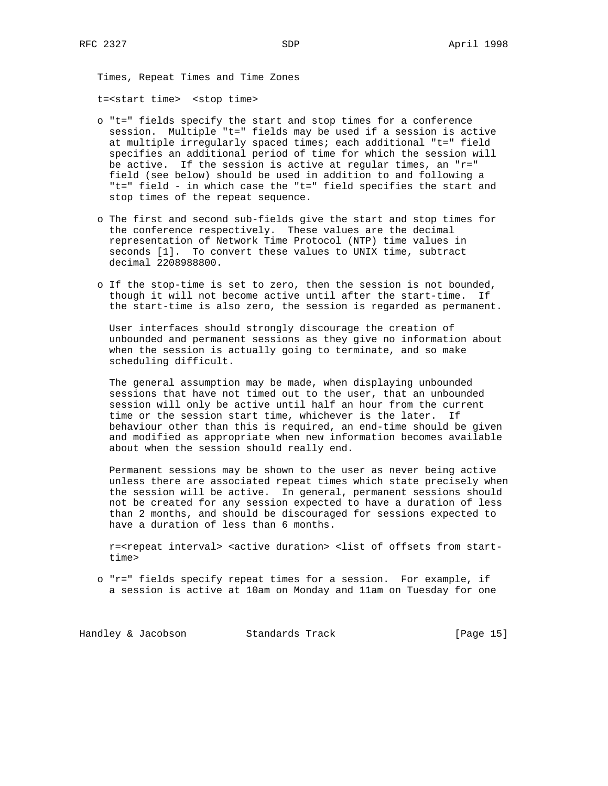Times, Repeat Times and Time Zones

t=<start time> <stop time>

- o "t=" fields specify the start and stop times for a conference session. Multiple "t=" fields may be used if a session is active at multiple irregularly spaced times; each additional "t=" field specifies an additional period of time for which the session will be active. If the session is active at regular times, an  $r =$ " field (see below) should be used in addition to and following a "t=" field - in which case the "t=" field specifies the start and stop times of the repeat sequence.
- o The first and second sub-fields give the start and stop times for the conference respectively. These values are the decimal representation of Network Time Protocol (NTP) time values in seconds [1]. To convert these values to UNIX time, subtract decimal 2208988800.
- o If the stop-time is set to zero, then the session is not bounded, though it will not become active until after the start-time. If the start-time is also zero, the session is regarded as permanent.

 User interfaces should strongly discourage the creation of unbounded and permanent sessions as they give no information about when the session is actually going to terminate, and so make scheduling difficult.

 The general assumption may be made, when displaying unbounded sessions that have not timed out to the user, that an unbounded session will only be active until half an hour from the current time or the session start time, whichever is the later. If behaviour other than this is required, an end-time should be given and modified as appropriate when new information becomes available about when the session should really end.

 Permanent sessions may be shown to the user as never being active unless there are associated repeat times which state precisely when the session will be active. In general, permanent sessions should not be created for any session expected to have a duration of less than 2 months, and should be discouraged for sessions expected to have a duration of less than 6 months.

r=<repeat interval> <active duration> <list of offsets from starttime>

 o "r=" fields specify repeat times for a session. For example, if a session is active at 10am on Monday and 11am on Tuesday for one

Handley & Jacobson Standards Track [Page 15]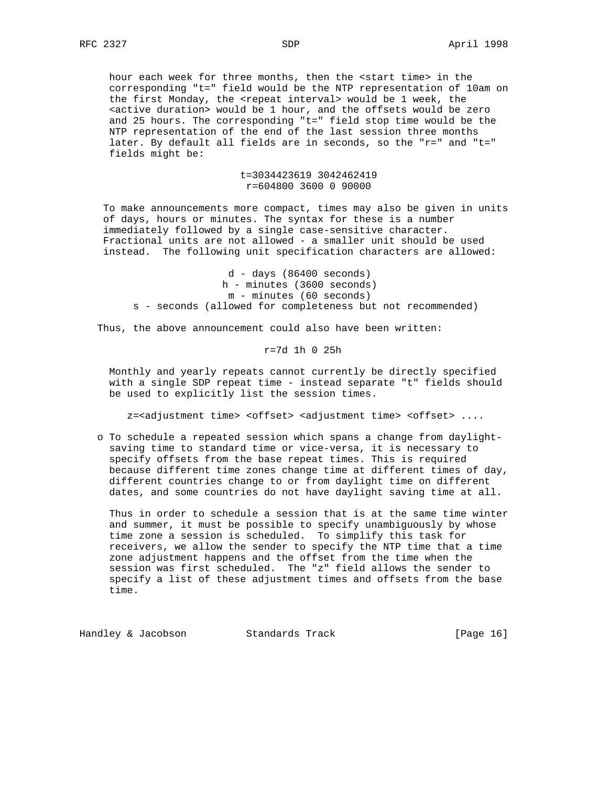hour each week for three months, then the <start time> in the corresponding "t=" field would be the NTP representation of 10am on the first Monday, the <repeat interval> would be 1 week, the <active duration> would be 1 hour, and the offsets would be zero and 25 hours. The corresponding "t=" field stop time would be the NTP representation of the end of the last session three months later. By default all fields are in seconds, so the "r=" and "t=" fields might be:

## t=3034423619 3042462419 r=604800 3600 0 90000

 To make announcements more compact, times may also be given in units of days, hours or minutes. The syntax for these is a number immediately followed by a single case-sensitive character. Fractional units are not allowed - a smaller unit should be used instead. The following unit specification characters are allowed:

 d - days (86400 seconds) h - minutes (3600 seconds) m - minutes (60 seconds) s - seconds (allowed for completeness but not recommended)

Thus, the above announcement could also have been written:

#### r=7d 1h 0 25h

 Monthly and yearly repeats cannot currently be directly specified with a single SDP repeat time - instead separate "t" fields should be used to explicitly list the session times.

z=<adjustment time> <offset> <adjustment time> <offset> ....

 o To schedule a repeated session which spans a change from daylight saving time to standard time or vice-versa, it is necessary to specify offsets from the base repeat times. This is required because different time zones change time at different times of day, different countries change to or from daylight time on different dates, and some countries do not have daylight saving time at all.

 Thus in order to schedule a session that is at the same time winter and summer, it must be possible to specify unambiguously by whose time zone a session is scheduled. To simplify this task for receivers, we allow the sender to specify the NTP time that a time zone adjustment happens and the offset from the time when the session was first scheduled. The "z" field allows the sender to specify a list of these adjustment times and offsets from the base time.

Handley & Jacobson Standards Track [Page 16]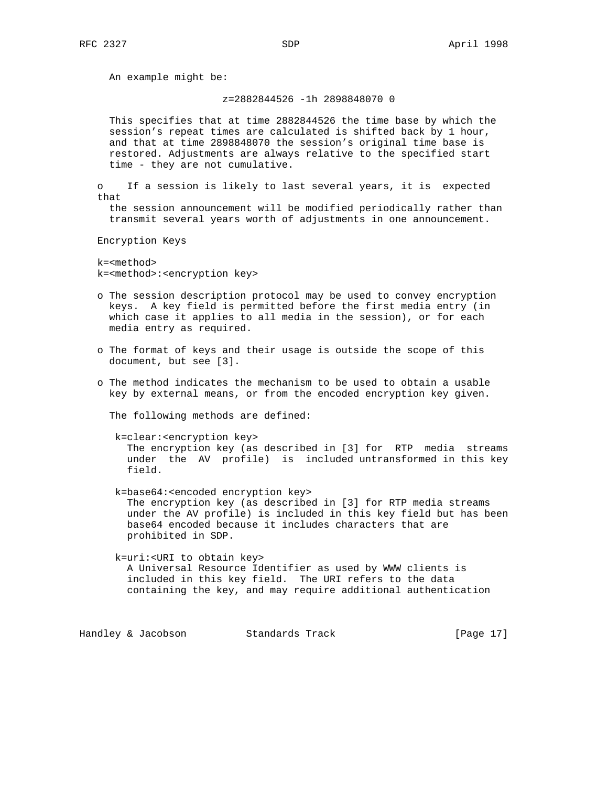An example might be:

## z=2882844526 -1h 2898848070 0

 This specifies that at time 2882844526 the time base by which the session's repeat times are calculated is shifted back by 1 hour, and that at time 2898848070 the session's original time base is restored. Adjustments are always relative to the specified start time - they are not cumulative.

 o If a session is likely to last several years, it is expected that

 the session announcement will be modified periodically rather than transmit several years worth of adjustments in one announcement.

Encryption Keys

 k=<method> k=<method>:<encryption key>

- o The session description protocol may be used to convey encryption keys. A key field is permitted before the first media entry (in which case it applies to all media in the session), or for each media entry as required.
- o The format of keys and their usage is outside the scope of this document, but see [3].
- o The method indicates the mechanism to be used to obtain a usable key by external means, or from the encoded encryption key given.

The following methods are defined:

 k=clear:<encryption key> The encryption key (as described in [3] for RTP media streams under the AV profile) is included untransformed in this key field.

 k=base64:<encoded encryption key> The encryption key (as described in [3] for RTP media streams under the AV profile) is included in this key field but has been base64 encoded because it includes characters that are prohibited in SDP.

 k=uri:<URI to obtain key> A Universal Resource Identifier as used by WWW clients is included in this key field. The URI refers to the data containing the key, and may require additional authentication

Handley & Jacobson Standards Track [Page 17]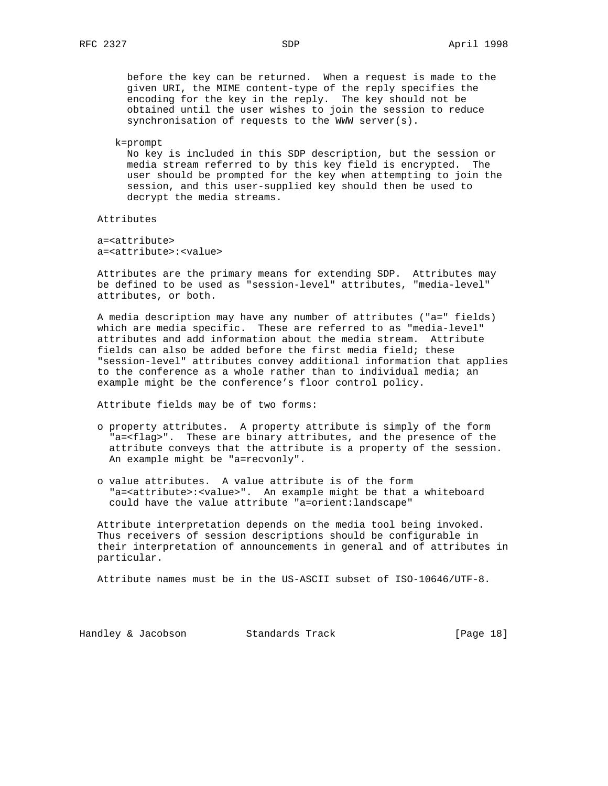before the key can be returned. When a request is made to the given URI, the MIME content-type of the reply specifies the encoding for the key in the reply. The key should not be obtained until the user wishes to join the session to reduce synchronisation of requests to the WWW server(s).

k=prompt

 No key is included in this SDP description, but the session or media stream referred to by this key field is encrypted. The user should be prompted for the key when attempting to join the session, and this user-supplied key should then be used to decrypt the media streams.

Attributes

 a=<attribute> a=<attribute>:<value>

 Attributes are the primary means for extending SDP. Attributes may be defined to be used as "session-level" attributes, "media-level" attributes, or both.

 A media description may have any number of attributes ("a=" fields) which are media specific. These are referred to as "media-level" attributes and add information about the media stream. Attribute fields can also be added before the first media field; these "session-level" attributes convey additional information that applies to the conference as a whole rather than to individual media; an example might be the conference's floor control policy.

Attribute fields may be of two forms:

- o property attributes. A property attribute is simply of the form "a=<flag>". These are binary attributes, and the presence of the attribute conveys that the attribute is a property of the session. An example might be "a=recvonly".
- o value attributes. A value attribute is of the form "a=<attribute>:<value>". An example might be that a whiteboard could have the value attribute "a=orient:landscape"

 Attribute interpretation depends on the media tool being invoked. Thus receivers of session descriptions should be configurable in their interpretation of announcements in general and of attributes in particular.

Attribute names must be in the US-ASCII subset of ISO-10646/UTF-8.

Handley & Jacobson Standards Track [Page 18]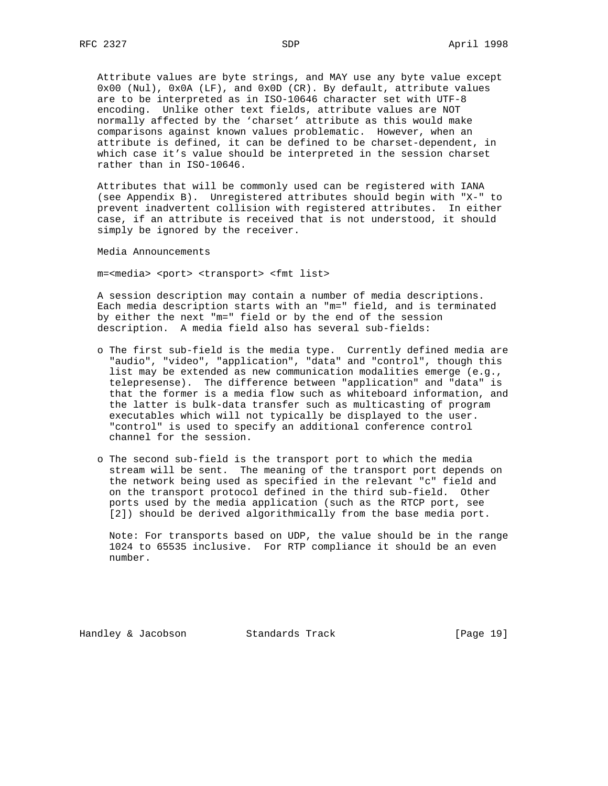Attribute values are byte strings, and MAY use any byte value except 0x00 (Nul), 0x0A (LF), and 0x0D (CR). By default, attribute values are to be interpreted as in ISO-10646 character set with UTF-8 encoding. Unlike other text fields, attribute values are NOT normally affected by the 'charset' attribute as this would make comparisons against known values problematic. However, when an attribute is defined, it can be defined to be charset-dependent, in which case it's value should be interpreted in the session charset rather than in ISO-10646.

 Attributes that will be commonly used can be registered with IANA (see Appendix B). Unregistered attributes should begin with "X-" to prevent inadvertent collision with registered attributes. In either case, if an attribute is received that is not understood, it should simply be ignored by the receiver.

Media Announcements

m=<media> <port> <transport> <fmt list>

 A session description may contain a number of media descriptions. Each media description starts with an "m=" field, and is terminated by either the next "m=" field or by the end of the session description. A media field also has several sub-fields:

- o The first sub-field is the media type. Currently defined media are "audio", "video", "application", "data" and "control", though this list may be extended as new communication modalities emerge (e.g., telepresense). The difference between "application" and "data" is that the former is a media flow such as whiteboard information, and the latter is bulk-data transfer such as multicasting of program executables which will not typically be displayed to the user. "control" is used to specify an additional conference control channel for the session.
	- o The second sub-field is the transport port to which the media stream will be sent. The meaning of the transport port depends on the network being used as specified in the relevant "c" field and on the transport protocol defined in the third sub-field. Other ports used by the media application (such as the RTCP port, see [2]) should be derived algorithmically from the base media port.

 Note: For transports based on UDP, the value should be in the range 1024 to 65535 inclusive. For RTP compliance it should be an even number.

Handley & Jacobson Standards Track [Page 19]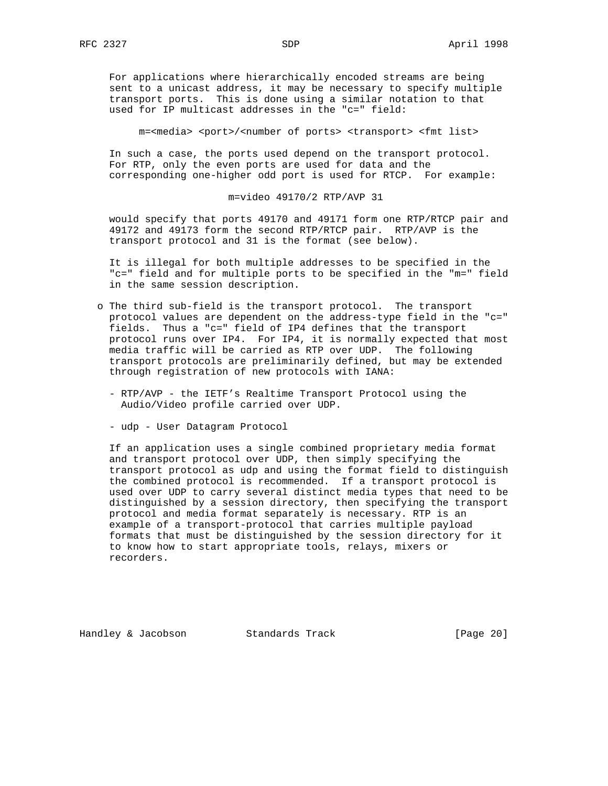For applications where hierarchically encoded streams are being sent to a unicast address, it may be necessary to specify multiple transport ports. This is done using a similar notation to that used for IP multicast addresses in the "c=" field:

m=<media> <port>/<number of ports> <transport> <fmt list>

 In such a case, the ports used depend on the transport protocol. For RTP, only the even ports are used for data and the corresponding one-higher odd port is used for RTCP. For example:

m=video 49170/2 RTP/AVP 31

 would specify that ports 49170 and 49171 form one RTP/RTCP pair and 49172 and 49173 form the second RTP/RTCP pair. RTP/AVP is the transport protocol and 31 is the format (see below).

 It is illegal for both multiple addresses to be specified in the "c=" field and for multiple ports to be specified in the "m=" field in the same session description.

- o The third sub-field is the transport protocol. The transport protocol values are dependent on the address-type field in the "c=" fields. Thus a "c=" field of IP4 defines that the transport protocol runs over IP4. For IP4, it is normally expected that most media traffic will be carried as RTP over UDP. The following transport protocols are preliminarily defined, but may be extended through registration of new protocols with IANA:
	- RTP/AVP the IETF's Realtime Transport Protocol using the Audio/Video profile carried over UDP.
	- udp User Datagram Protocol

 If an application uses a single combined proprietary media format and transport protocol over UDP, then simply specifying the transport protocol as udp and using the format field to distinguish the combined protocol is recommended. If a transport protocol is used over UDP to carry several distinct media types that need to be distinguished by a session directory, then specifying the transport protocol and media format separately is necessary. RTP is an example of a transport-protocol that carries multiple payload formats that must be distinguished by the session directory for it to know how to start appropriate tools, relays, mixers or recorders.

Handley & Jacobson Standards Track [Page 20]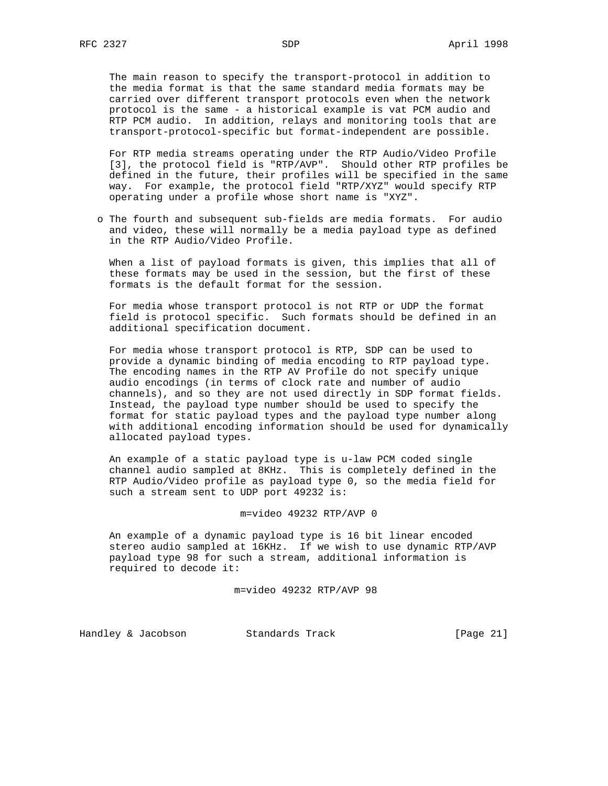The main reason to specify the transport-protocol in addition to the media format is that the same standard media formats may be carried over different transport protocols even when the network protocol is the same - a historical example is vat PCM audio and RTP PCM audio. In addition, relays and monitoring tools that are transport-protocol-specific but format-independent are possible.

 For RTP media streams operating under the RTP Audio/Video Profile [3], the protocol field is "RTP/AVP". Should other RTP profiles be defined in the future, their profiles will be specified in the same way. For example, the protocol field "RTP/XYZ" would specify RTP operating under a profile whose short name is "XYZ".

 o The fourth and subsequent sub-fields are media formats. For audio and video, these will normally be a media payload type as defined in the RTP Audio/Video Profile.

 When a list of payload formats is given, this implies that all of these formats may be used in the session, but the first of these formats is the default format for the session.

 For media whose transport protocol is not RTP or UDP the format field is protocol specific. Such formats should be defined in an additional specification document.

 For media whose transport protocol is RTP, SDP can be used to provide a dynamic binding of media encoding to RTP payload type. The encoding names in the RTP AV Profile do not specify unique audio encodings (in terms of clock rate and number of audio channels), and so they are not used directly in SDP format fields. Instead, the payload type number should be used to specify the format for static payload types and the payload type number along with additional encoding information should be used for dynamically allocated payload types.

 An example of a static payload type is u-law PCM coded single channel audio sampled at 8KHz. This is completely defined in the RTP Audio/Video profile as payload type 0, so the media field for such a stream sent to UDP port 49232 is:

#### m=video 49232 RTP/AVP 0

 An example of a dynamic payload type is 16 bit linear encoded stereo audio sampled at 16KHz. If we wish to use dynamic RTP/AVP payload type 98 for such a stream, additional information is required to decode it:

m=video 49232 RTP/AVP 98

Handley & Jacobson Standards Track [Page 21]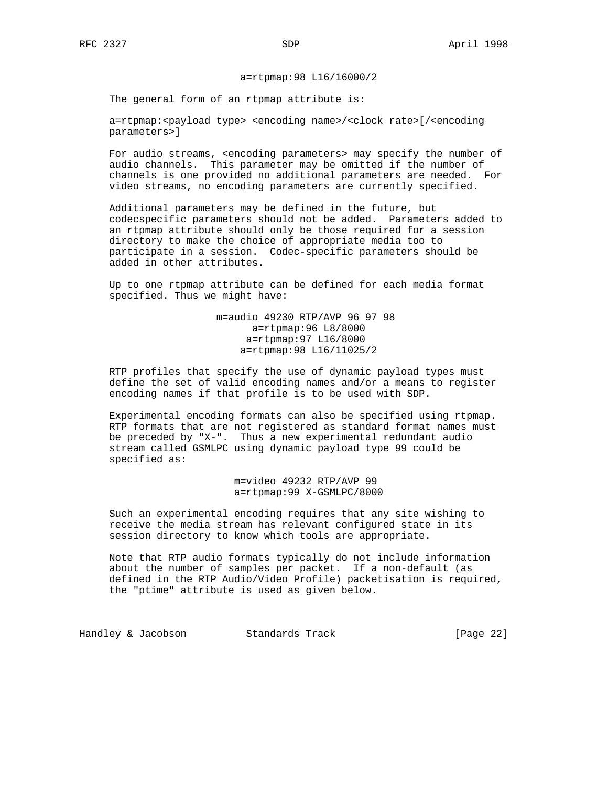a=rtpmap:98 L16/16000/2

The general form of an rtpmap attribute is:

 a=rtpmap:<payload type> <encoding name>/<clock rate>[/<encoding parameters>]

 For audio streams, <encoding parameters> may specify the number of audio channels. This parameter may be omitted if the number of channels is one provided no additional parameters are needed. For video streams, no encoding parameters are currently specified.

 Additional parameters may be defined in the future, but codecspecific parameters should not be added. Parameters added to an rtpmap attribute should only be those required for a session directory to make the choice of appropriate media too to participate in a session. Codec-specific parameters should be added in other attributes.

 Up to one rtpmap attribute can be defined for each media format specified. Thus we might have:

> m=audio 49230 RTP/AVP 96 97 98 a=rtpmap:96 L8/8000 a=rtpmap:97 L16/8000 a=rtpmap:98 L16/11025/2

 RTP profiles that specify the use of dynamic payload types must define the set of valid encoding names and/or a means to register encoding names if that profile is to be used with SDP.

 Experimental encoding formats can also be specified using rtpmap. RTP formats that are not registered as standard format names must be preceded by "X-". Thus a new experimental redundant audio stream called GSMLPC using dynamic payload type 99 could be specified as:

> m=video 49232 RTP/AVP 99 a=rtpmap:99 X-GSMLPC/8000

 Such an experimental encoding requires that any site wishing to receive the media stream has relevant configured state in its session directory to know which tools are appropriate.

 Note that RTP audio formats typically do not include information about the number of samples per packet. If a non-default (as defined in the RTP Audio/Video Profile) packetisation is required, the "ptime" attribute is used as given below.

Handley & Jacobson Standards Track [Page 22]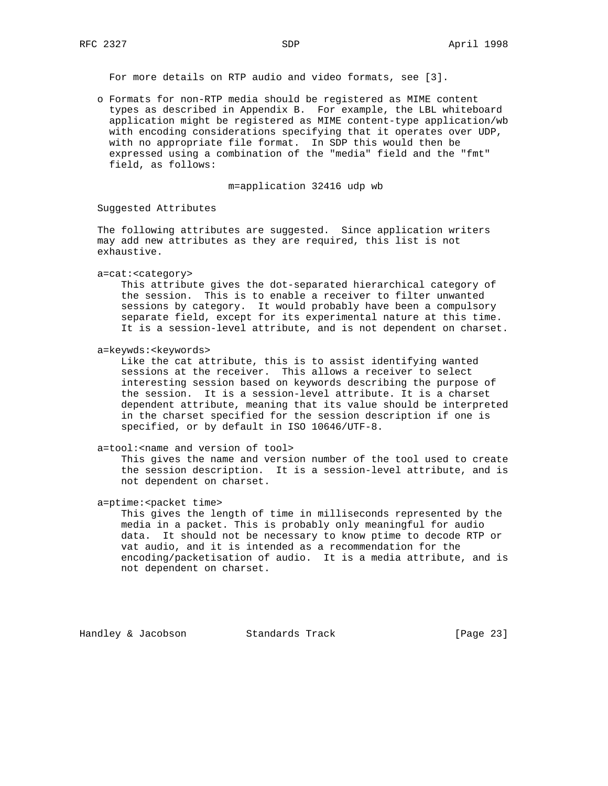For more details on RTP audio and video formats, see [3].

 o Formats for non-RTP media should be registered as MIME content types as described in Appendix B. For example, the LBL whiteboard application might be registered as MIME content-type application/wb with encoding considerations specifying that it operates over UDP, with no appropriate file format. In SDP this would then be expressed using a combination of the "media" field and the "fmt" field, as follows:

m=application 32416 udp wb

Suggested Attributes

 The following attributes are suggested. Since application writers may add new attributes as they are required, this list is not exhaustive.

a=cat:<category>

 This attribute gives the dot-separated hierarchical category of the session. This is to enable a receiver to filter unwanted sessions by category. It would probably have been a compulsory separate field, except for its experimental nature at this time. It is a session-level attribute, and is not dependent on charset.

a=keywds:<keywords>

 Like the cat attribute, this is to assist identifying wanted sessions at the receiver. This allows a receiver to select interesting session based on keywords describing the purpose of the session. It is a session-level attribute. It is a charset dependent attribute, meaning that its value should be interpreted in the charset specified for the session description if one is specified, or by default in ISO 10646/UTF-8.

a=tool:<name and version of tool>

 This gives the name and version number of the tool used to create the session description. It is a session-level attribute, and is not dependent on charset.

a=ptime:<packet time>

 This gives the length of time in milliseconds represented by the media in a packet. This is probably only meaningful for audio data. It should not be necessary to know ptime to decode RTP or vat audio, and it is intended as a recommendation for the encoding/packetisation of audio. It is a media attribute, and is not dependent on charset.

Handley & Jacobson Standards Track [Page 23]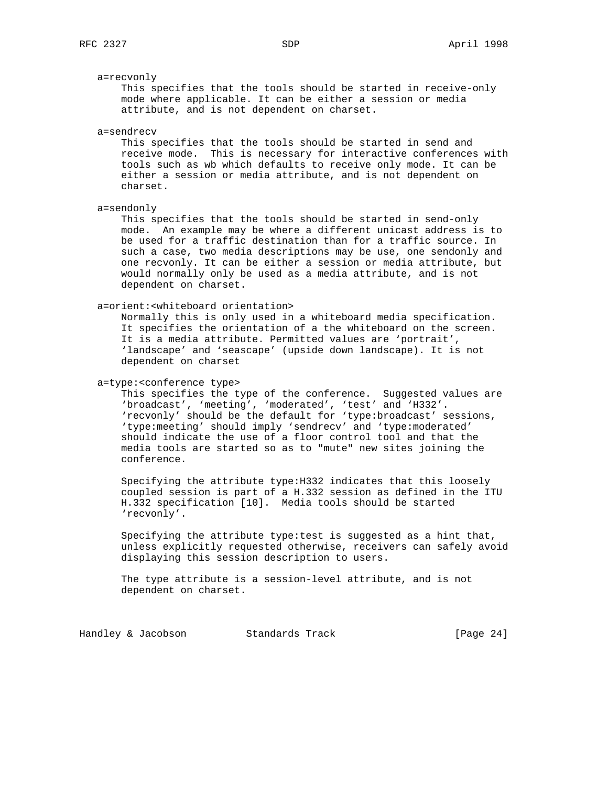#### a=recvonly

 This specifies that the tools should be started in receive-only mode where applicable. It can be either a session or media attribute, and is not dependent on charset.

a=sendrecv

 This specifies that the tools should be started in send and receive mode. This is necessary for interactive conferences with tools such as wb which defaults to receive only mode. It can be either a session or media attribute, and is not dependent on charset.

a=sendonly

 This specifies that the tools should be started in send-only mode. An example may be where a different unicast address is to be used for a traffic destination than for a traffic source. In such a case, two media descriptions may be use, one sendonly and one recvonly. It can be either a session or media attribute, but would normally only be used as a media attribute, and is not dependent on charset.

a=orient:<whiteboard orientation>

 Normally this is only used in a whiteboard media specification. It specifies the orientation of a the whiteboard on the screen. It is a media attribute. Permitted values are 'portrait', 'landscape' and 'seascape' (upside down landscape). It is not dependent on charset

a=type:<conference type>

 This specifies the type of the conference. Suggested values are 'broadcast', 'meeting', 'moderated', 'test' and 'H332'. 'recvonly' should be the default for 'type:broadcast' sessions, 'type:meeting' should imply 'sendrecv' and 'type:moderated' should indicate the use of a floor control tool and that the media tools are started so as to "mute" new sites joining the conference.

 Specifying the attribute type:H332 indicates that this loosely coupled session is part of a H.332 session as defined in the ITU H.332 specification [10]. Media tools should be started 'recvonly'.

 Specifying the attribute type:test is suggested as a hint that, unless explicitly requested otherwise, receivers can safely avoid displaying this session description to users.

 The type attribute is a session-level attribute, and is not dependent on charset.

Handley & Jacobson Standards Track [Page 24]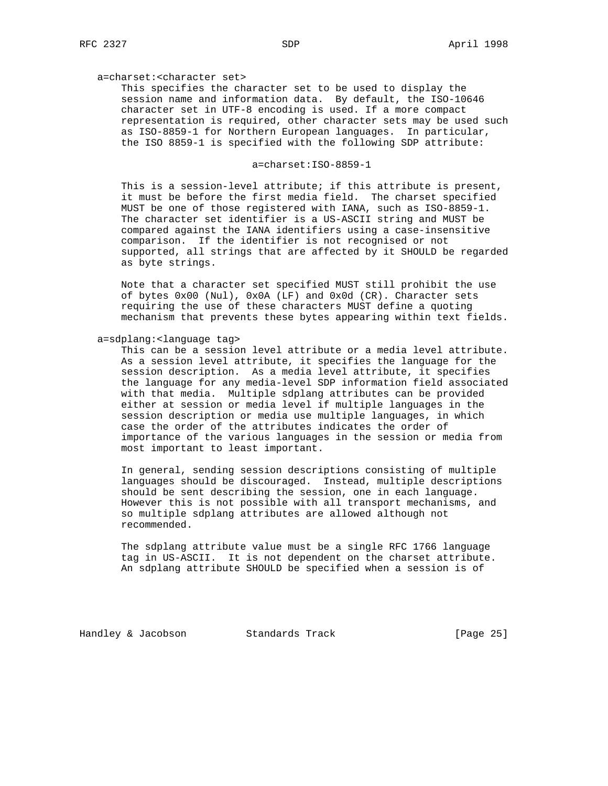#### a=charset:<character set>

 This specifies the character set to be used to display the session name and information data. By default, the ISO-10646 character set in UTF-8 encoding is used. If a more compact representation is required, other character sets may be used such as ISO-8859-1 for Northern European languages. In particular, the ISO 8859-1 is specified with the following SDP attribute:

### a=charset:ISO-8859-1

 This is a session-level attribute; if this attribute is present, it must be before the first media field. The charset specified MUST be one of those registered with IANA, such as ISO-8859-1. The character set identifier is a US-ASCII string and MUST be compared against the IANA identifiers using a case-insensitive comparison. If the identifier is not recognised or not supported, all strings that are affected by it SHOULD be regarded as byte strings.

 Note that a character set specified MUST still prohibit the use of bytes 0x00 (Nul), 0x0A (LF) and 0x0d (CR). Character sets requiring the use of these characters MUST define a quoting mechanism that prevents these bytes appearing within text fields.

### a=sdplang:<language tag>

 This can be a session level attribute or a media level attribute. As a session level attribute, it specifies the language for the session description. As a media level attribute, it specifies the language for any media-level SDP information field associated with that media. Multiple sdplang attributes can be provided either at session or media level if multiple languages in the session description or media use multiple languages, in which case the order of the attributes indicates the order of importance of the various languages in the session or media from most important to least important.

 In general, sending session descriptions consisting of multiple languages should be discouraged. Instead, multiple descriptions should be sent describing the session, one in each language. However this is not possible with all transport mechanisms, and so multiple sdplang attributes are allowed although not recommended.

 The sdplang attribute value must be a single RFC 1766 language tag in US-ASCII. It is not dependent on the charset attribute. An sdplang attribute SHOULD be specified when a session is of

Handley & Jacobson Standards Track [Page 25]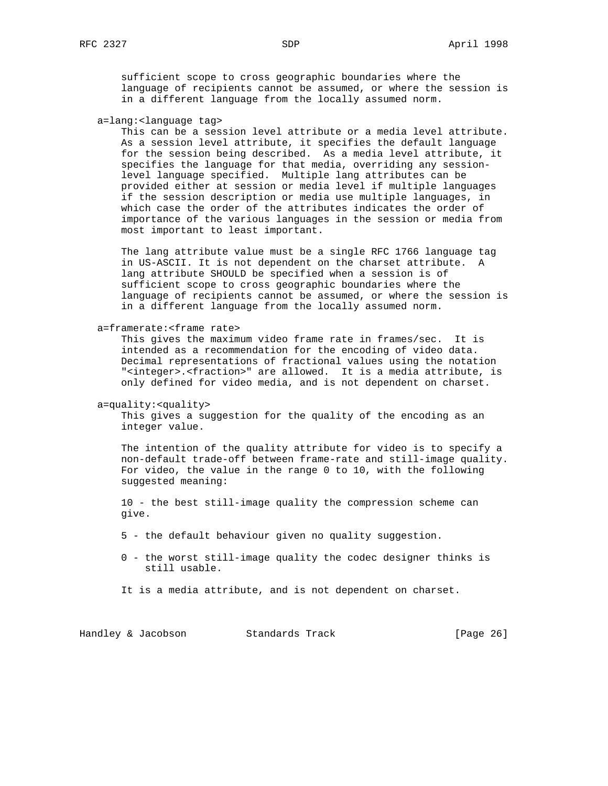sufficient scope to cross geographic boundaries where the language of recipients cannot be assumed, or where the session is in a different language from the locally assumed norm.

a=lang:<language tag>

 This can be a session level attribute or a media level attribute. As a session level attribute, it specifies the default language for the session being described. As a media level attribute, it specifies the language for that media, overriding any session level language specified. Multiple lang attributes can be provided either at session or media level if multiple languages if the session description or media use multiple languages, in which case the order of the attributes indicates the order of importance of the various languages in the session or media from most important to least important.

 The lang attribute value must be a single RFC 1766 language tag in US-ASCII. It is not dependent on the charset attribute. A lang attribute SHOULD be specified when a session is of sufficient scope to cross geographic boundaries where the language of recipients cannot be assumed, or where the session is in a different language from the locally assumed norm.

a=framerate:<frame rate>

 This gives the maximum video frame rate in frames/sec. It is intended as a recommendation for the encoding of video data. Decimal representations of fractional values using the notation "<integer>.<fraction>" are allowed. It is a media attribute, is only defined for video media, and is not dependent on charset.

a=quality:<quality>

 This gives a suggestion for the quality of the encoding as an integer value.

 The intention of the quality attribute for video is to specify a non-default trade-off between frame-rate and still-image quality. For video, the value in the range 0 to 10, with the following suggested meaning:

 10 - the best still-image quality the compression scheme can give.

- 5 the default behaviour given no quality suggestion.
- 0 the worst still-image quality the codec designer thinks is still usable.
- It is a media attribute, and is not dependent on charset.

Handley & Jacobson Standards Track [Page 26]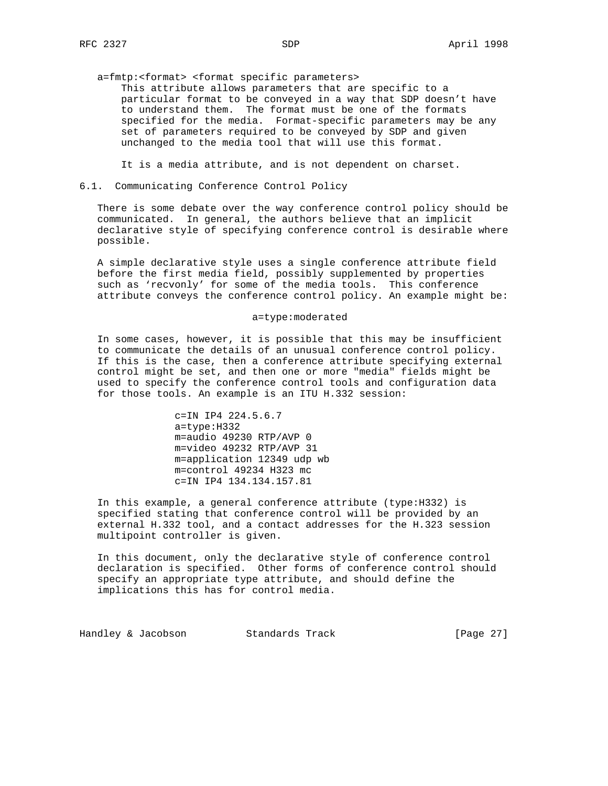a=fmtp:<format> <format specific parameters>

 This attribute allows parameters that are specific to a particular format to be conveyed in a way that SDP doesn't have to understand them. The format must be one of the formats specified for the media. Format-specific parameters may be any set of parameters required to be conveyed by SDP and given unchanged to the media tool that will use this format.

It is a media attribute, and is not dependent on charset.

## 6.1. Communicating Conference Control Policy

 There is some debate over the way conference control policy should be communicated. In general, the authors believe that an implicit declarative style of specifying conference control is desirable where possible.

 A simple declarative style uses a single conference attribute field before the first media field, possibly supplemented by properties such as 'recvonly' for some of the media tools. This conference attribute conveys the conference control policy. An example might be:

## a=type:moderated

 In some cases, however, it is possible that this may be insufficient to communicate the details of an unusual conference control policy. If this is the case, then a conference attribute specifying external control might be set, and then one or more "media" fields might be used to specify the conference control tools and configuration data for those tools. An example is an ITU H.332 session:

> c=IN IP4 224.5.6.7 a=type:H332 m=audio 49230 RTP/AVP 0 m=video 49232 RTP/AVP 31 m=application 12349 udp wb m=control 49234 H323 mc c=IN IP4 134.134.157.81

 In this example, a general conference attribute (type:H332) is specified stating that conference control will be provided by an external H.332 tool, and a contact addresses for the H.323 session multipoint controller is given.

 In this document, only the declarative style of conference control declaration is specified. Other forms of conference control should specify an appropriate type attribute, and should define the implications this has for control media.

Handley & Jacobson Standards Track [Page 27]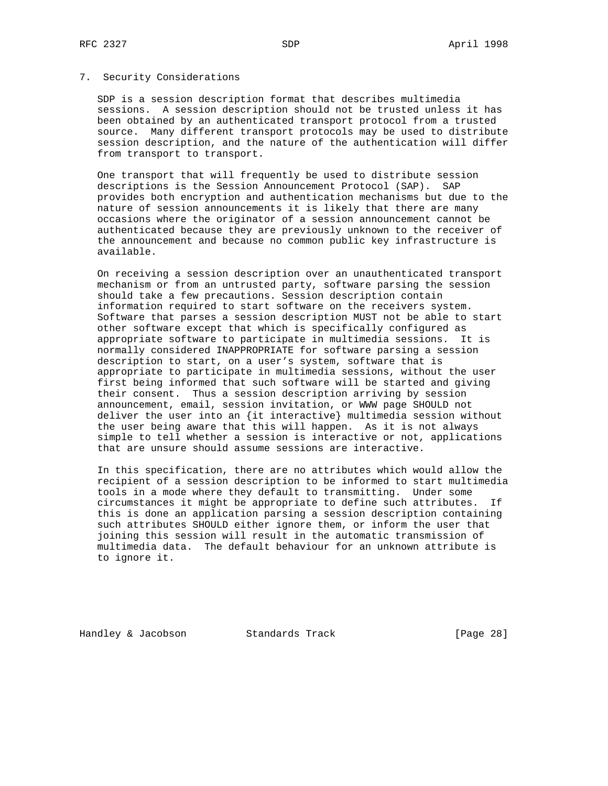## 7. Security Considerations

 SDP is a session description format that describes multimedia sessions. A session description should not be trusted unless it has been obtained by an authenticated transport protocol from a trusted source. Many different transport protocols may be used to distribute session description, and the nature of the authentication will differ from transport to transport.

 One transport that will frequently be used to distribute session descriptions is the Session Announcement Protocol (SAP). SAP provides both encryption and authentication mechanisms but due to the nature of session announcements it is likely that there are many occasions where the originator of a session announcement cannot be authenticated because they are previously unknown to the receiver of the announcement and because no common public key infrastructure is available.

 On receiving a session description over an unauthenticated transport mechanism or from an untrusted party, software parsing the session should take a few precautions. Session description contain information required to start software on the receivers system. Software that parses a session description MUST not be able to start other software except that which is specifically configured as appropriate software to participate in multimedia sessions. It is normally considered INAPPROPRIATE for software parsing a session description to start, on a user's system, software that is appropriate to participate in multimedia sessions, without the user first being informed that such software will be started and giving their consent. Thus a session description arriving by session announcement, email, session invitation, or WWW page SHOULD not deliver the user into an {it interactive} multimedia session without the user being aware that this will happen. As it is not always simple to tell whether a session is interactive or not, applications that are unsure should assume sessions are interactive.

 In this specification, there are no attributes which would allow the recipient of a session description to be informed to start multimedia tools in a mode where they default to transmitting. Under some circumstances it might be appropriate to define such attributes. If this is done an application parsing a session description containing such attributes SHOULD either ignore them, or inform the user that joining this session will result in the automatic transmission of multimedia data. The default behaviour for an unknown attribute is to ignore it.

Handley & Jacobson Standards Track [Page 28]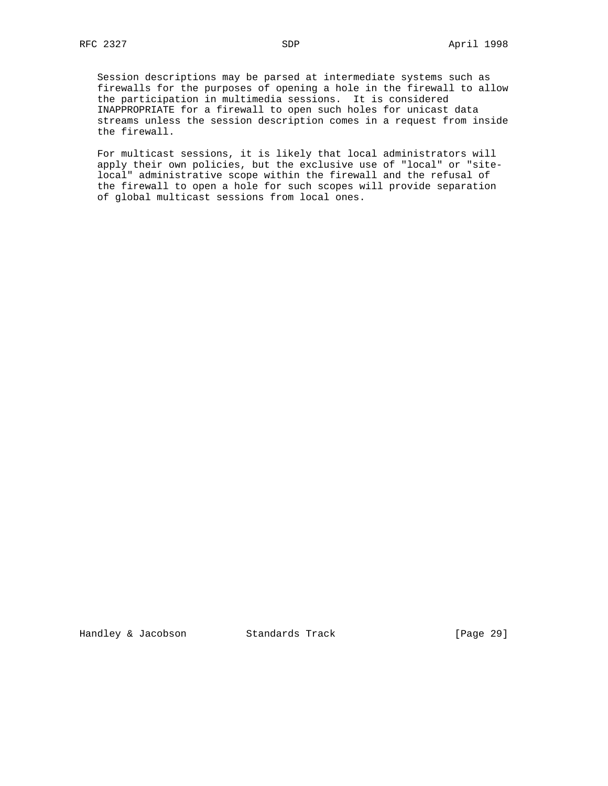Session descriptions may be parsed at intermediate systems such as firewalls for the purposes of opening a hole in the firewall to allow the participation in multimedia sessions. It is considered INAPPROPRIATE for a firewall to open such holes for unicast data streams unless the session description comes in a request from inside the firewall.

 For multicast sessions, it is likely that local administrators will apply their own policies, but the exclusive use of "local" or "site local" administrative scope within the firewall and the refusal of the firewall to open a hole for such scopes will provide separation of global multicast sessions from local ones.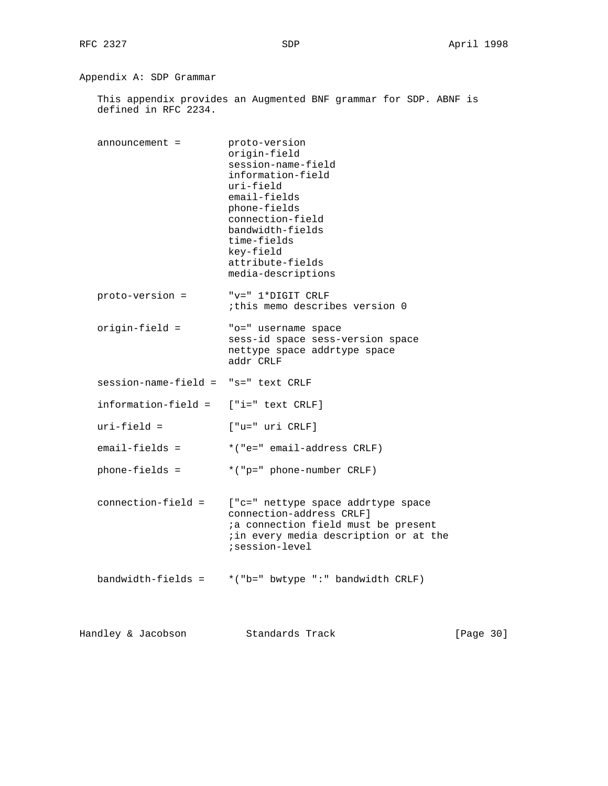Appendix A: SDP Grammar

 This appendix provides an Augmented BNF grammar for SDP. ABNF is defined in RFC 2234.

announcement = proto-version origin-field session-name-field information-field uri-field email-fields phone-fields connection-field bandwidth-fields time-fields key-field attribute-fields media-descriptions proto-version = "v=" 1\*DIGIT CRLF ;this memo describes version 0 origin-field = "o=" username space sess-id space sess-version space nettype space addrtype space addr CRLF session-name-field = "s=" text CRLF information-field = ["i=" text CRLF] uri-field = ["u=" uri CRLF] email-fields =  $*$  ("e=" email-address CRLF) phone-fields = \*("p=" phone-number CRLF) connection-field = ["c=" nettype space addrtype space connection-address CRLF] ;a connection field must be present ;in every media description or at the ;session-level bandwidth-fields = \*("b=" bwtype ":" bandwidth CRLF)

Handley & Jacobson Standards Track [Page 30]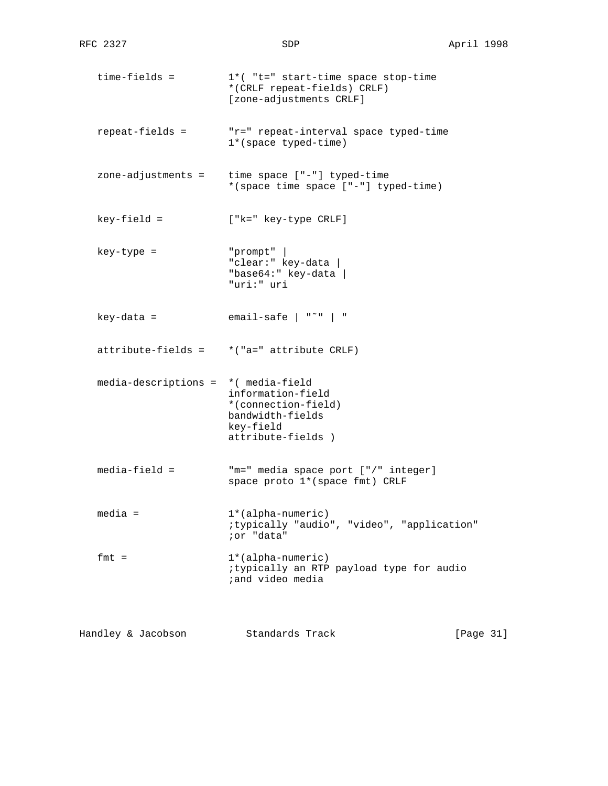| $time-fields =$      | 1*( "t=" start-time space stop-time<br>*(CRLF repeat-fields) CRLF)<br>[zone-adjustments CRLF]                    |
|----------------------|------------------------------------------------------------------------------------------------------------------|
| repeat-fields =      | "r=" repeat-interval space typed-time<br>1*(space typed-time)                                                    |
| zone-adjustments =   | time space ["-"] typed-time<br>*(space time space ["-"] typed-time)                                              |
| $key$ -field =       | ["k=" key-type CRLF]                                                                                             |
| key-type =           | "prompt"  <br>"clear:" key-data  <br>"base64:" key-data  <br>"uri:" uri                                          |
| key-data =           | email-safe $ $ """ $ $ "                                                                                         |
| attribute-fields =   | *("a=" attribute CRLF)                                                                                           |
| media-descriptions = | *( media-field<br>information-field<br>*(connection-field)<br>bandwidth-fields<br>key-field<br>attribute-fields) |
| $media-field =$      | "m=" media space port ["/" integer]<br>space proto 1*(space fmt) CRLF                                            |
| $media =$            | $1*(alpha-numberic)$<br>;typically "audio", "video", "application"<br><i>i</i> or "data"                         |
| $fmt =$              | $1*(alpha-numberic)$<br>itypically an RTP payload type for audio<br>; and video media                            |

Handley & Jacobson Standards Track [Page 31]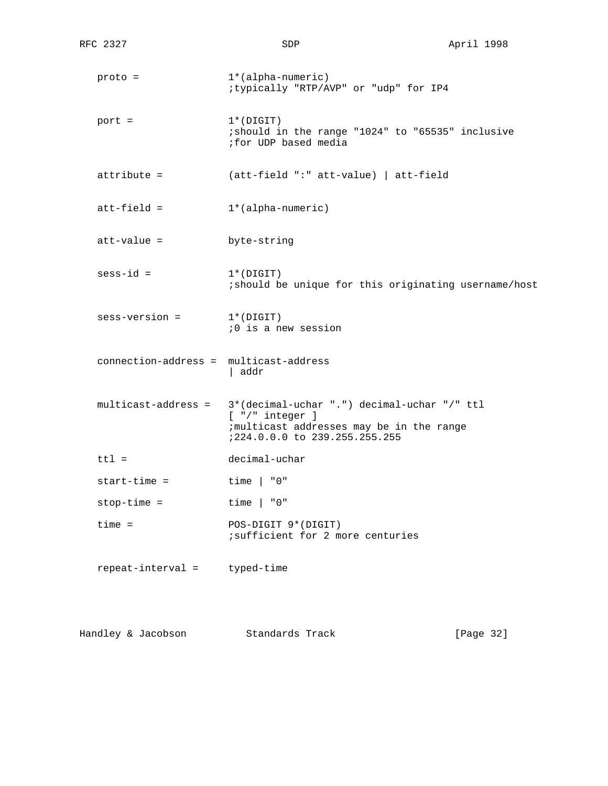proto = 1\*(alpha-numeric) ;typically "RTP/AVP" or "udp" for IP4  $port = 1*(DIST)$  ;should in the range "1024" to "65535" inclusive ;for UDP based media attribute = (att-field ":" att-value) | att-field  $att-field = 1*(alpha-numberic)$  att-value = byte-string  $sess-id = 1*(DIST)$  ;should be unique for this originating username/host sess-version = 1\*(DIGIT) ;0 is a new session connection-address = multicast-address | addr multicast-address = 3\*(decimal-uchar ".") decimal-uchar "/" ttl [ "/" integer ] ;multicast addresses may be in the range ;224.0.0.0 to 239.255.255.255 ttl = decimal-uchar  $start-time =$  time | "0"  $stop-time =$  time | "0" time = POS-DIGIT 9\*(DIGIT) ;sufficient for 2 more centuries repeat-interval = typed-time

Handley & Jacobson Standards Track [Page 32]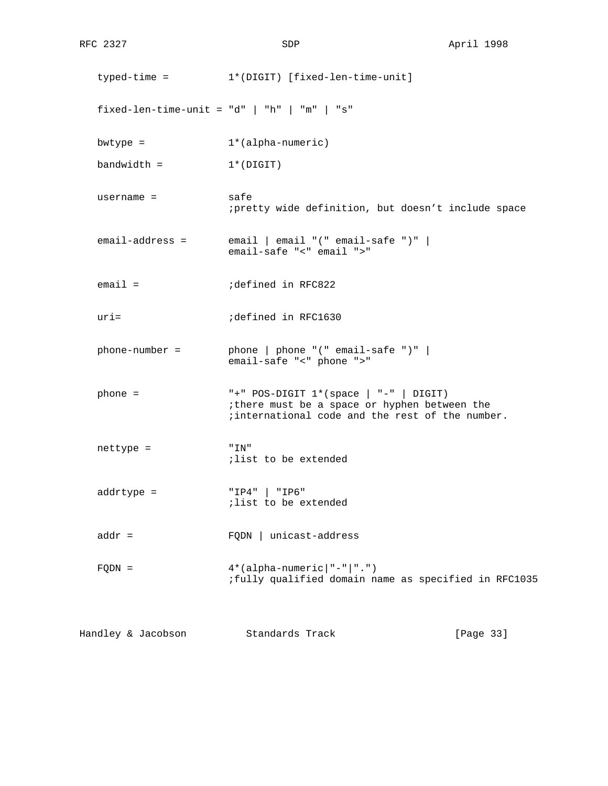typed-time = 1\*(DIGIT) [fixed-len-time-unit] fixed-len-time-unit =  $\overline{d}$ " | "h" | "m" | "s"  $bwtype = 1*(alpha-numberic)$  $bandwidth = 1*(DIST)$  username = safe ;pretty wide definition, but doesn't include space email-address = email | email "(" email-safe ")" | email-safe "<" email ">" email =  $; defined in RFC822$ uri= ;defined in RFC1630 phone-number = phone | phone "(" email-safe ")" | email-safe "<" phone ">" phone = "+" POS-DIGIT 1\*(space | "-" | DIGIT) ;there must be a space or hyphen between the ;international code and the rest of the number. nettype = "IN" ;list to be extended  $addrtype =$  "IP4" | "IP6" ;list to be extended addr = FQDN | unicast-address  $FQDN = 4*(alpha-numberic|" - "|".")$ ;fully qualified domain name as specified in RFC1035

Handley & Jacobson Standards Track [Page 33]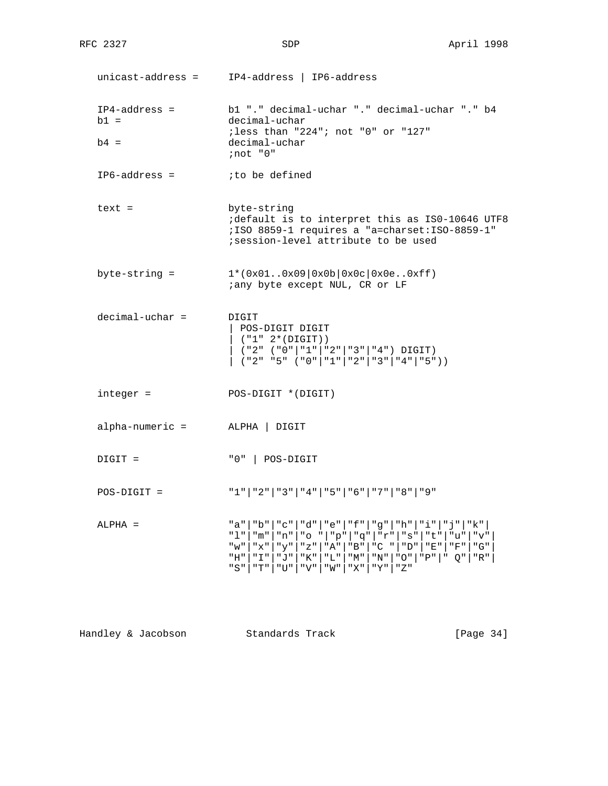unicast-address = IP4-address | IP6-address IP4-address = b1 "." decimal-uchar "." decimal-uchar "." b4 decimal-uchar  $i$ less than "224"; not "0" or "127"<br>b4 = decimal-uchar decimal-uchar ;not "0"  $IP6$ -address =  $;to\$  ito be defined text = byte-string ;default is to interpret this as IS0-10646 UTF8 ;ISO 8859-1 requires a "a=charset:ISO-8859-1" ;session-level attribute to be used byte-string =  $1*(0x01..0x09|0x0b|0x0c|0x0e..0xff)$  ;any byte except NUL, CR or LF decimal-uchar = DIGIT | POS-DIGIT DIGIT  $|$  ("1" 2\*(DIGIT)) | ("2" ("0"|"1"|"2"|"3"|"4") DIGIT) | ("2" "5" ("0"|"1"|"2"|"3"|"4"|"5")) integer = POS-DIGIT \*(DIGIT) alpha-numeric = ALPHA | DIGIT DIGIT = "0" | POS-DIGIT POS-DIGIT = "1"|"2"|"3"|"4"|"5"|"6"|"7"|"8"|"9" ALPHA =  $\begin{bmatrix} \n\alpha & \alpha & \alpha \\ \n\alpha & \alpha & \alpha \n\end{bmatrix} \begin{bmatrix} \n\alpha \\ \n\alpha \n\end{bmatrix} \begin{bmatrix} \n\alpha \\ \n\alpha \n\end{bmatrix} \begin{bmatrix} \n\alpha \\ \n\alpha \n\end{bmatrix} \begin{bmatrix} \n\alpha \\ \n\alpha \n\end{bmatrix} \begin{bmatrix} \n\alpha \\ \n\alpha \n\end{bmatrix} \begin{bmatrix} \n\alpha \\ \n\alpha \n\end{bmatrix} \begin{bmatrix} \n\alpha \\ \n\alpha \n\end{bmatrix} \begin{bmatrix} \n\alpha \\ \n\alpha \$  "l"|"m"|"n"|"o "|"p"|"q"|"r"|"s"|"t"|"u"|"v"| "w"|"x"|"y"|"z"|"A"|"B"|"C "|"D"|"E"|"F"|"G"| "H"|"I"|"J"|"K"|"L"|"M"|"N"|"O"|"P"|" Q"|"R"| "S"|"T"|"U"|"V"|"W"|"X"|"Y"|"Z"

Handley & Jacobson Standards Track [Page 34]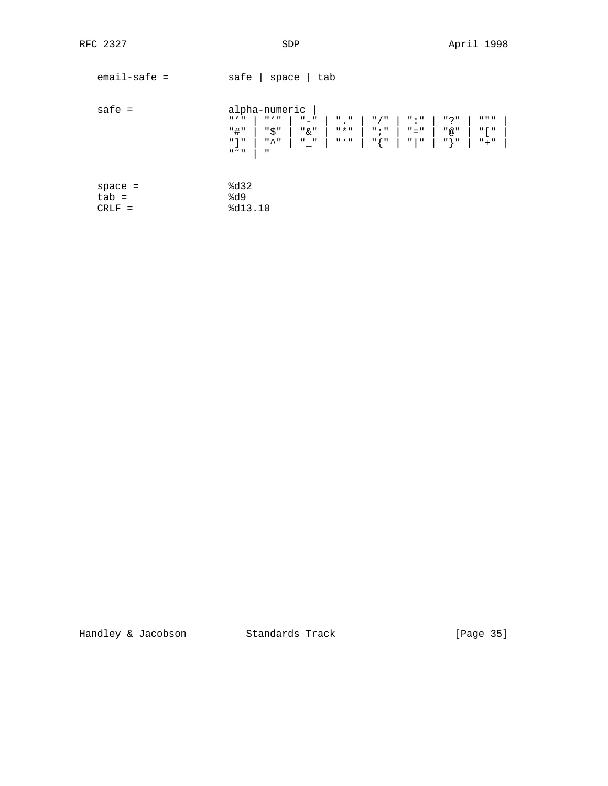| $email-safe =$                    | safe   space   tab                                                              |
|-----------------------------------|---------------------------------------------------------------------------------|
| $safe =$                          | alpha-numeric  <br>$\mathfrak{n}\cong\mathfrak{n} \qquad \boxed{-\mathfrak{n}}$ |
| $space =$<br>$tab =$<br>$CRI.F =$ | 8d32<br>%d9<br>$\$d13.10$                                                       |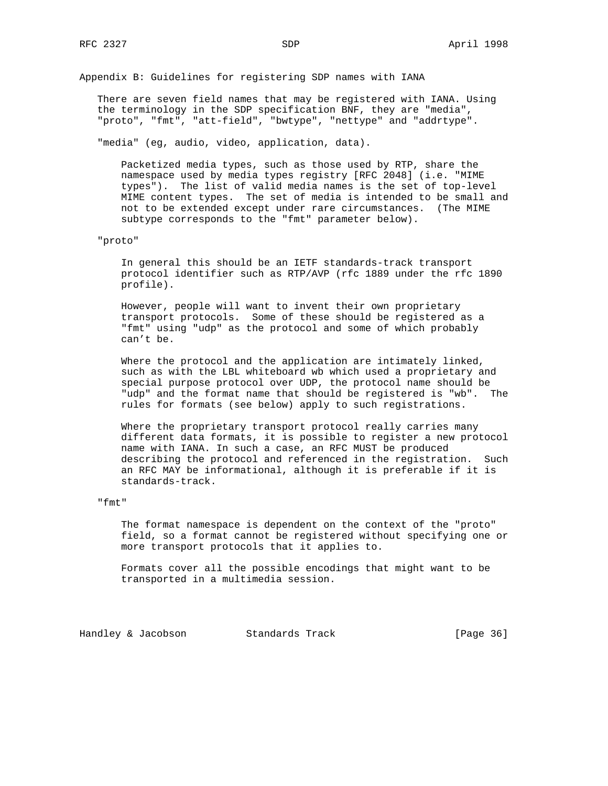Appendix B: Guidelines for registering SDP names with IANA

 There are seven field names that may be registered with IANA. Using the terminology in the SDP specification BNF, they are "media", "proto", "fmt", "att-field", "bwtype", "nettype" and "addrtype".

"media" (eg, audio, video, application, data).

 Packetized media types, such as those used by RTP, share the namespace used by media types registry [RFC 2048] (i.e. "MIME types"). The list of valid media names is the set of top-level MIME content types. The set of media is intended to be small and not to be extended except under rare circumstances. (The MIME subtype corresponds to the "fmt" parameter below).

"proto"

 In general this should be an IETF standards-track transport protocol identifier such as RTP/AVP (rfc 1889 under the rfc 1890 profile).

 However, people will want to invent their own proprietary transport protocols. Some of these should be registered as a "fmt" using "udp" as the protocol and some of which probably can't be.

 Where the protocol and the application are intimately linked, such as with the LBL whiteboard wb which used a proprietary and special purpose protocol over UDP, the protocol name should be "udp" and the format name that should be registered is "wb". The rules for formats (see below) apply to such registrations.

 Where the proprietary transport protocol really carries many different data formats, it is possible to register a new protocol name with IANA. In such a case, an RFC MUST be produced describing the protocol and referenced in the registration. Such an RFC MAY be informational, although it is preferable if it is standards-track.

"fmt"

 The format namespace is dependent on the context of the "proto" field, so a format cannot be registered without specifying one or more transport protocols that it applies to.

 Formats cover all the possible encodings that might want to be transported in a multimedia session.

Handley & Jacobson Standards Track [Page 36]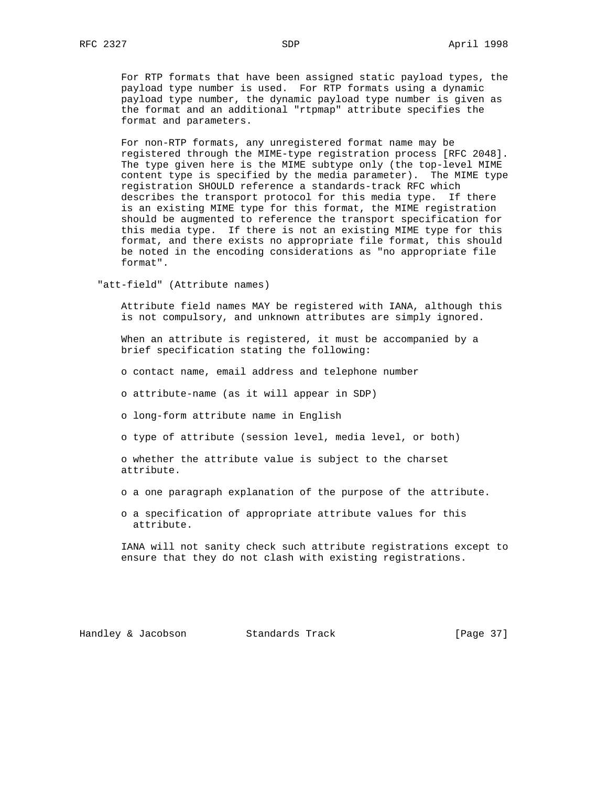For RTP formats that have been assigned static payload types, the payload type number is used. For RTP formats using a dynamic payload type number, the dynamic payload type number is given as the format and an additional "rtpmap" attribute specifies the format and parameters.

 For non-RTP formats, any unregistered format name may be registered through the MIME-type registration process [RFC 2048]. The type given here is the MIME subtype only (the top-level MIME content type is specified by the media parameter). The MIME type registration SHOULD reference a standards-track RFC which describes the transport protocol for this media type. If there is an existing MIME type for this format, the MIME registration should be augmented to reference the transport specification for this media type. If there is not an existing MIME type for this format, and there exists no appropriate file format, this should be noted in the encoding considerations as "no appropriate file format".

"att-field" (Attribute names)

 Attribute field names MAY be registered with IANA, although this is not compulsory, and unknown attributes are simply ignored.

 When an attribute is registered, it must be accompanied by a brief specification stating the following:

- o contact name, email address and telephone number
- o attribute-name (as it will appear in SDP)
- o long-form attribute name in English
- o type of attribute (session level, media level, or both)

 o whether the attribute value is subject to the charset attribute.

o a one paragraph explanation of the purpose of the attribute.

 o a specification of appropriate attribute values for this attribute.

 IANA will not sanity check such attribute registrations except to ensure that they do not clash with existing registrations.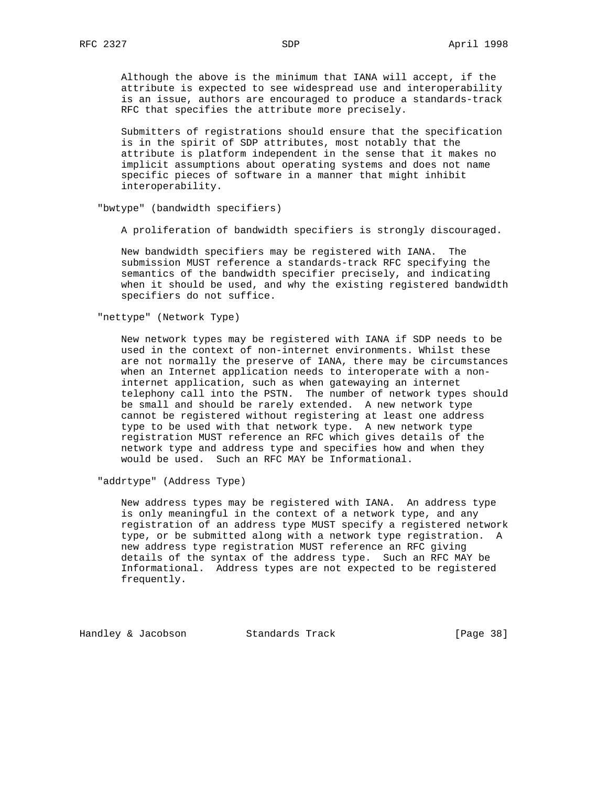Although the above is the minimum that IANA will accept, if the attribute is expected to see widespread use and interoperability is an issue, authors are encouraged to produce a standards-track RFC that specifies the attribute more precisely.

 Submitters of registrations should ensure that the specification is in the spirit of SDP attributes, most notably that the attribute is platform independent in the sense that it makes no implicit assumptions about operating systems and does not name specific pieces of software in a manner that might inhibit interoperability.

"bwtype" (bandwidth specifiers)

A proliferation of bandwidth specifiers is strongly discouraged.

 New bandwidth specifiers may be registered with IANA. The submission MUST reference a standards-track RFC specifying the semantics of the bandwidth specifier precisely, and indicating when it should be used, and why the existing registered bandwidth specifiers do not suffice.

"nettype" (Network Type)

 New network types may be registered with IANA if SDP needs to be used in the context of non-internet environments. Whilst these are not normally the preserve of IANA, there may be circumstances when an Internet application needs to interoperate with a non internet application, such as when gatewaying an internet telephony call into the PSTN. The number of network types should be small and should be rarely extended. A new network type cannot be registered without registering at least one address type to be used with that network type. A new network type registration MUST reference an RFC which gives details of the network type and address type and specifies how and when they would be used. Such an RFC MAY be Informational.

"addrtype" (Address Type)

 New address types may be registered with IANA. An address type is only meaningful in the context of a network type, and any registration of an address type MUST specify a registered network type, or be submitted along with a network type registration. A new address type registration MUST reference an RFC giving details of the syntax of the address type. Such an RFC MAY be Informational. Address types are not expected to be registered frequently.

Handley & Jacobson Standards Track [Page 38]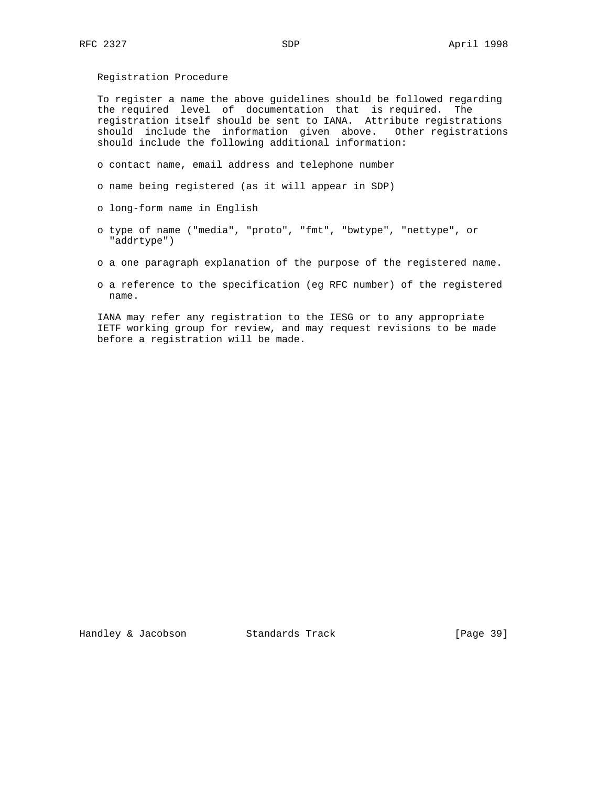Registration Procedure

 To register a name the above guidelines should be followed regarding the required level of documentation that is required. The registration itself should be sent to IANA. Attribute registrations should include the information given above. Other registrations should include the following additional information:

- o contact name, email address and telephone number
- o name being registered (as it will appear in SDP)
- o long-form name in English
- o type of name ("media", "proto", "fmt", "bwtype", "nettype", or "addrtype")
- o a one paragraph explanation of the purpose of the registered name.
- o a reference to the specification (eg RFC number) of the registered name.

 IANA may refer any registration to the IESG or to any appropriate IETF working group for review, and may request revisions to be made before a registration will be made.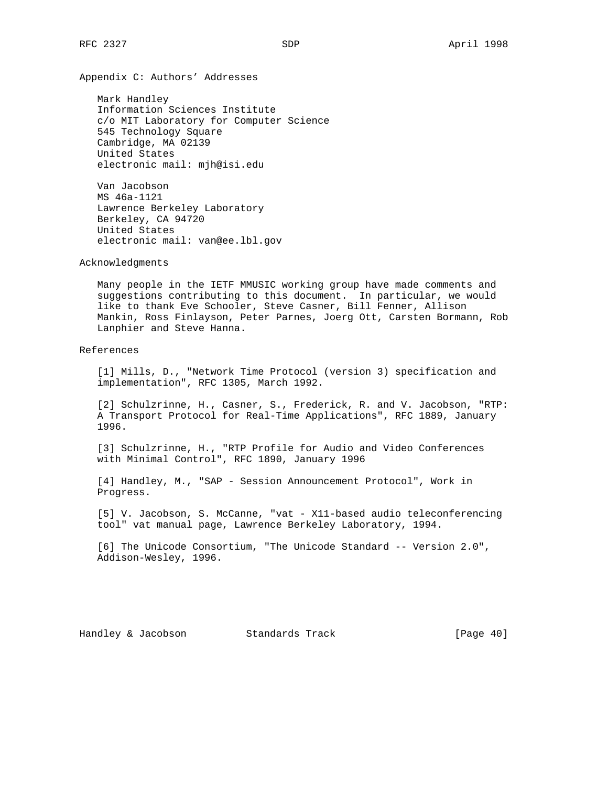Appendix C: Authors' Addresses

 Mark Handley Information Sciences Institute c/o MIT Laboratory for Computer Science 545 Technology Square Cambridge, MA 02139 United States electronic mail: mjh@isi.edu

 Van Jacobson MS 46a-1121 Lawrence Berkeley Laboratory Berkeley, CA 94720 United States electronic mail: van@ee.lbl.gov

Acknowledgments

 Many people in the IETF MMUSIC working group have made comments and suggestions contributing to this document. In particular, we would like to thank Eve Schooler, Steve Casner, Bill Fenner, Allison Mankin, Ross Finlayson, Peter Parnes, Joerg Ott, Carsten Bormann, Rob Lanphier and Steve Hanna.

### References

 [1] Mills, D., "Network Time Protocol (version 3) specification and implementation", RFC 1305, March 1992.

 [2] Schulzrinne, H., Casner, S., Frederick, R. and V. Jacobson, "RTP: A Transport Protocol for Real-Time Applications", RFC 1889, January 1996.

 [3] Schulzrinne, H., "RTP Profile for Audio and Video Conferences with Minimal Control", RFC 1890, January 1996

 [4] Handley, M., "SAP - Session Announcement Protocol", Work in Progress.

 [5] V. Jacobson, S. McCanne, "vat - X11-based audio teleconferencing tool" vat manual page, Lawrence Berkeley Laboratory, 1994.

 [6] The Unicode Consortium, "The Unicode Standard -- Version 2.0", Addison-Wesley, 1996.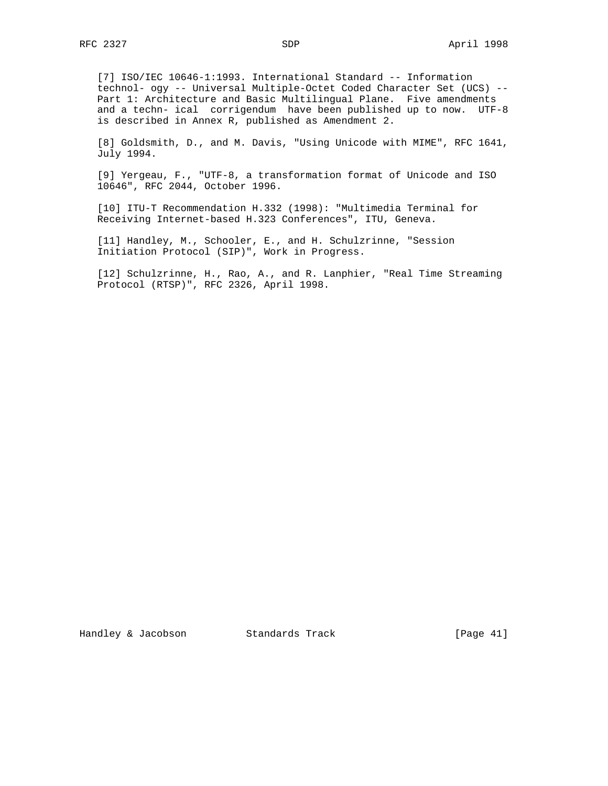[7] ISO/IEC 10646-1:1993. International Standard -- Information technol- ogy -- Universal Multiple-Octet Coded Character Set (UCS) -- Part 1: Architecture and Basic Multilingual Plane. Five amendments and a techn- ical corrigendum have been published up to now. UTF-8 is described in Annex R, published as Amendment 2.

 [8] Goldsmith, D., and M. Davis, "Using Unicode with MIME", RFC 1641, July 1994.

 [9] Yergeau, F., "UTF-8, a transformation format of Unicode and ISO 10646", RFC 2044, October 1996.

 [10] ITU-T Recommendation H.332 (1998): "Multimedia Terminal for Receiving Internet-based H.323 Conferences", ITU, Geneva.

 [11] Handley, M., Schooler, E., and H. Schulzrinne, "Session Initiation Protocol (SIP)", Work in Progress.

[12] Schulzrinne, H., Rao, A., and R. Lanphier, "Real Time Streaming Protocol (RTSP)", RFC 2326, April 1998.